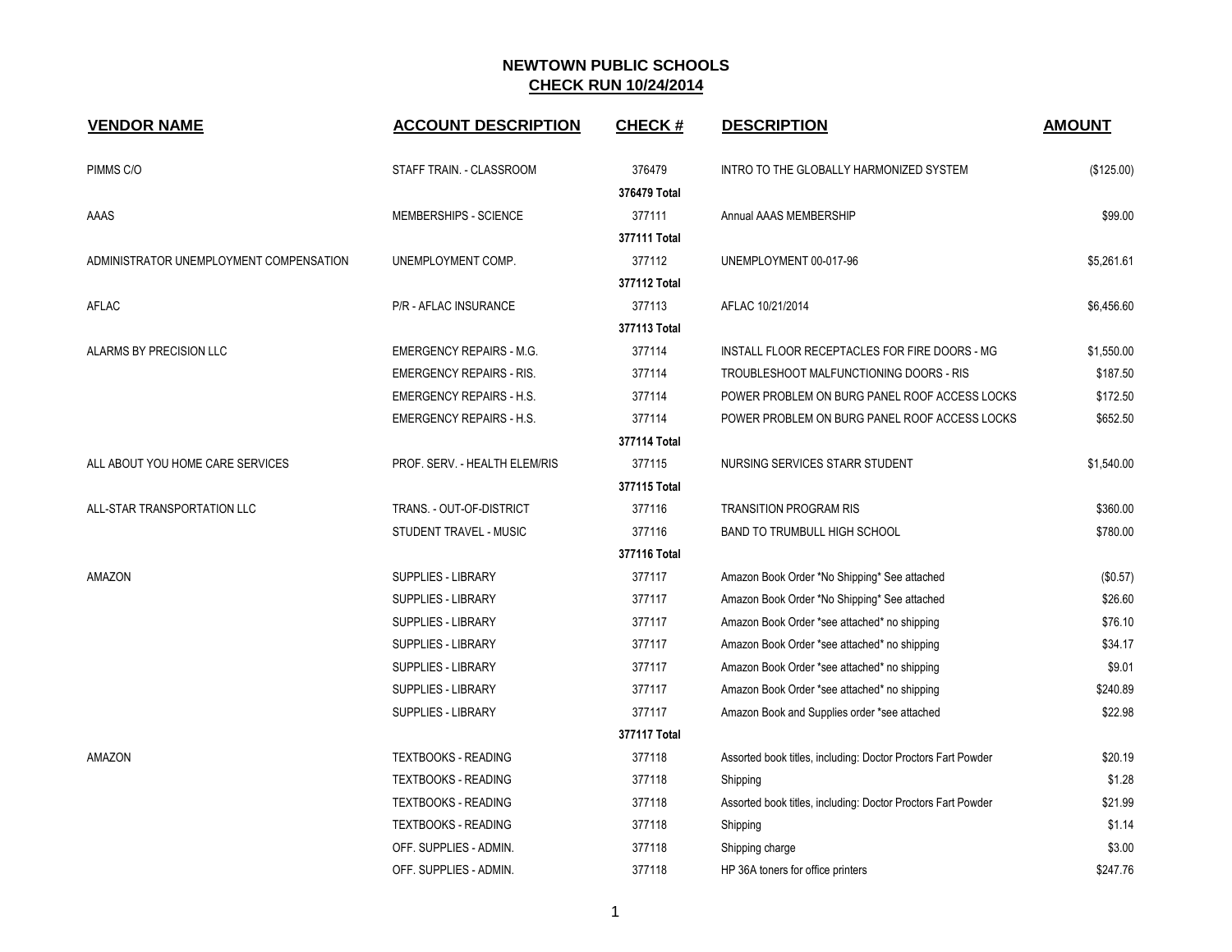| <b>VENDOR NAME</b>                      | <b>ACCOUNT DESCRIPTION</b>      | <b>CHECK#</b> | <b>DESCRIPTION</b>                                           | <b>AMOUNT</b> |
|-----------------------------------------|---------------------------------|---------------|--------------------------------------------------------------|---------------|
| PIMMS C/O                               | STAFF TRAIN. - CLASSROOM        | 376479        | INTRO TO THE GLOBALLY HARMONIZED SYSTEM                      | (\$125.00)    |
|                                         |                                 | 376479 Total  |                                                              |               |
| AAAS                                    | MEMBERSHIPS - SCIENCE           | 377111        | Annual AAAS MEMBERSHIP                                       | \$99.00       |
|                                         |                                 | 377111 Total  |                                                              |               |
| ADMINISTRATOR UNEMPLOYMENT COMPENSATION | UNEMPLOYMENT COMP.              | 377112        | UNEMPLOYMENT 00-017-96                                       | \$5,261.61    |
|                                         |                                 | 377112 Total  |                                                              |               |
| AFLAC                                   | P/R - AFLAC INSURANCE           | 377113        | AFLAC 10/21/2014                                             | \$6,456.60    |
|                                         |                                 | 377113 Total  |                                                              |               |
| ALARMS BY PRECISION LLC                 | <b>EMERGENCY REPAIRS - M.G.</b> | 377114        | INSTALL FLOOR RECEPTACLES FOR FIRE DOORS - MG                | \$1,550.00    |
|                                         | <b>EMERGENCY REPAIRS - RIS.</b> | 377114        | TROUBLESHOOT MALFUNCTIONING DOORS - RIS                      | \$187.50      |
|                                         | <b>EMERGENCY REPAIRS - H.S.</b> | 377114        | POWER PROBLEM ON BURG PANEL ROOF ACCESS LOCKS                | \$172.50      |
|                                         | <b>EMERGENCY REPAIRS - H.S.</b> | 377114        | POWER PROBLEM ON BURG PANEL ROOF ACCESS LOCKS                | \$652.50      |
|                                         |                                 | 377114 Total  |                                                              |               |
| ALL ABOUT YOU HOME CARE SERVICES        | PROF. SERV. - HEALTH ELEM/RIS   | 377115        | NURSING SERVICES STARR STUDENT                               | \$1,540.00    |
|                                         |                                 | 377115 Total  |                                                              |               |
| ALL-STAR TRANSPORTATION LLC             | TRANS. - OUT-OF-DISTRICT        | 377116        | <b>TRANSITION PROGRAM RIS</b>                                | \$360.00      |
|                                         | STUDENT TRAVEL - MUSIC          | 377116        | <b>BAND TO TRUMBULL HIGH SCHOOL</b>                          | \$780.00      |
|                                         |                                 | 377116 Total  |                                                              |               |
| AMAZON                                  | <b>SUPPLIES - LIBRARY</b>       | 377117        | Amazon Book Order *No Shipping* See attached                 | (\$0.57)      |
|                                         | <b>SUPPLIES - LIBRARY</b>       | 377117        | Amazon Book Order *No Shipping* See attached                 | \$26.60       |
|                                         | <b>SUPPLIES - LIBRARY</b>       | 377117        | Amazon Book Order *see attached* no shipping                 | \$76.10       |
|                                         | SUPPLIES - LIBRARY              | 377117        | Amazon Book Order *see attached* no shipping                 | \$34.17       |
|                                         | <b>SUPPLIES - LIBRARY</b>       | 377117        | Amazon Book Order *see attached* no shipping                 | \$9.01        |
|                                         | <b>SUPPLIES - LIBRARY</b>       | 377117        | Amazon Book Order *see attached* no shipping                 | \$240.89      |
|                                         | <b>SUPPLIES - LIBRARY</b>       | 377117        | Amazon Book and Supplies order *see attached                 | \$22.98       |
|                                         |                                 | 377117 Total  |                                                              |               |
| AMAZON                                  | <b>TEXTBOOKS - READING</b>      | 377118        | Assorted book titles, including: Doctor Proctors Fart Powder | \$20.19       |
|                                         | <b>TEXTBOOKS - READING</b>      | 377118        | Shipping                                                     | \$1.28        |
|                                         | <b>TEXTBOOKS - READING</b>      | 377118        | Assorted book titles, including: Doctor Proctors Fart Powder | \$21.99       |
|                                         | <b>TEXTBOOKS - READING</b>      | 377118        | Shipping                                                     | \$1.14        |
|                                         | OFF. SUPPLIES - ADMIN.          | 377118        | Shipping charge                                              | \$3.00        |
|                                         | OFF. SUPPLIES - ADMIN.          | 377118        | HP 36A toners for office printers                            | \$247.76      |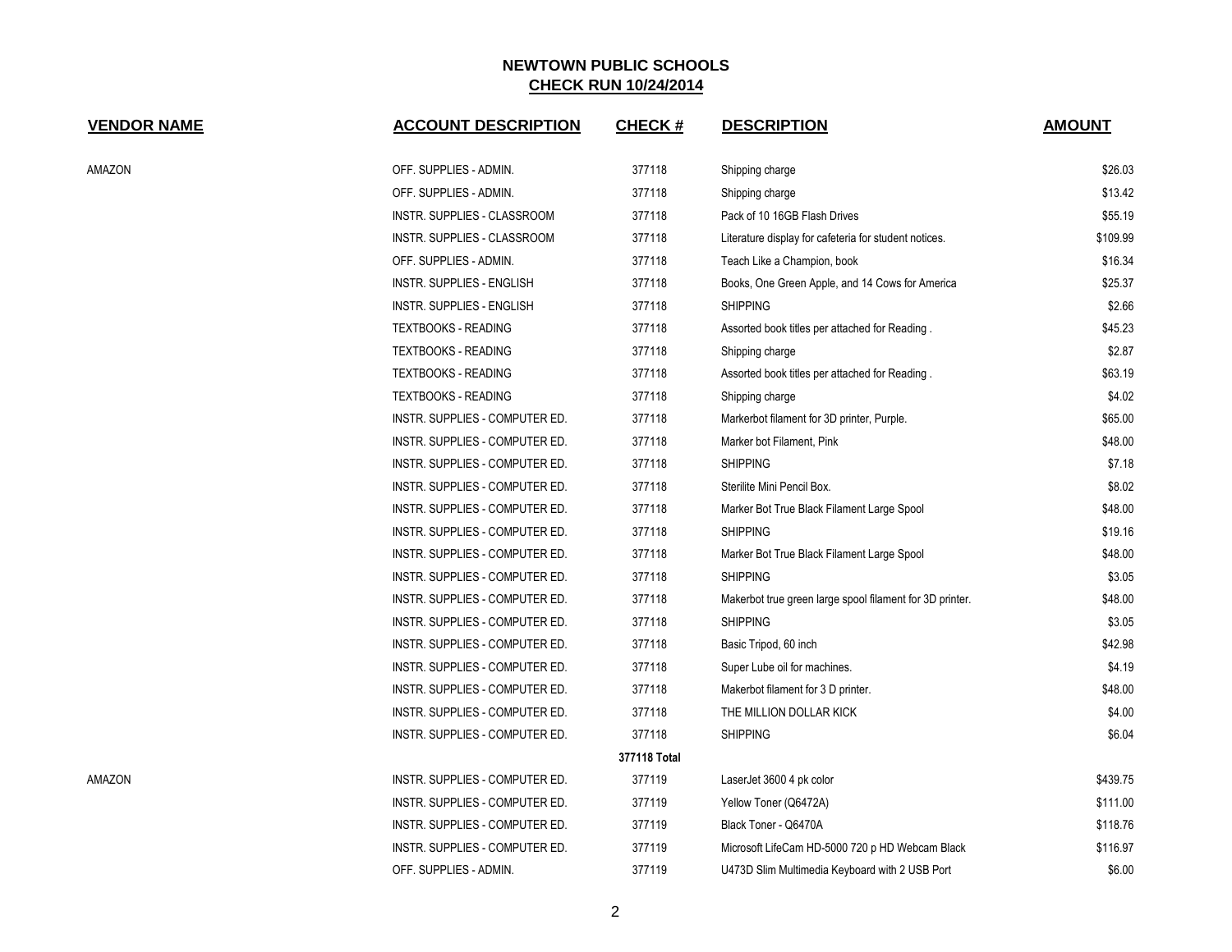| <b>VENDOR NAME</b> | <b>ACCOUNT DESCRIPTION</b>       | <b>CHECK#</b> | <b>DESCRIPTION</b>                                       | <b>AMOUNT</b> |
|--------------------|----------------------------------|---------------|----------------------------------------------------------|---------------|
| AMAZON             | OFF. SUPPLIES - ADMIN.           | 377118        | Shipping charge                                          | \$26.03       |
|                    | OFF. SUPPLIES - ADMIN.           | 377118        | Shipping charge                                          | \$13.42       |
|                    | INSTR. SUPPLIES - CLASSROOM      | 377118        | Pack of 10 16GB Flash Drives                             | \$55.19       |
|                    | INSTR. SUPPLIES - CLASSROOM      | 377118        | Literature display for cafeteria for student notices.    | \$109.99      |
|                    | OFF. SUPPLIES - ADMIN.           | 377118        | Teach Like a Champion, book                              | \$16.34       |
|                    | <b>INSTR. SUPPLIES - ENGLISH</b> | 377118        | Books, One Green Apple, and 14 Cows for America          | \$25.37       |
|                    | <b>INSTR. SUPPLIES - ENGLISH</b> | 377118        | <b>SHIPPING</b>                                          | \$2.66        |
|                    | <b>TEXTBOOKS - READING</b>       | 377118        | Assorted book titles per attached for Reading.           | \$45.23       |
|                    | <b>TEXTBOOKS - READING</b>       | 377118        | Shipping charge                                          | \$2.87        |
|                    | <b>TEXTBOOKS - READING</b>       | 377118        | Assorted book titles per attached for Reading            | \$63.19       |
|                    | <b>TEXTBOOKS - READING</b>       | 377118        | Shipping charge                                          | \$4.02        |
|                    | INSTR. SUPPLIES - COMPUTER ED.   | 377118        | Markerbot filament for 3D printer, Purple.               | \$65.00       |
|                    | INSTR. SUPPLIES - COMPUTER ED.   | 377118        | Marker bot Filament, Pink                                | \$48.00       |
|                    | INSTR. SUPPLIES - COMPUTER ED.   | 377118        | <b>SHIPPING</b>                                          | \$7.18        |
|                    | INSTR. SUPPLIES - COMPUTER ED.   | 377118        | Sterilite Mini Pencil Box.                               | \$8.02        |
|                    | INSTR. SUPPLIES - COMPUTER ED.   | 377118        | Marker Bot True Black Filament Large Spool               | \$48.00       |
|                    | INSTR. SUPPLIES - COMPUTER ED.   | 377118        | <b>SHIPPING</b>                                          | \$19.16       |
|                    | INSTR. SUPPLIES - COMPUTER ED.   | 377118        | Marker Bot True Black Filament Large Spool               | \$48.00       |
|                    | INSTR. SUPPLIES - COMPUTER ED.   | 377118        | <b>SHIPPING</b>                                          | \$3.05        |
|                    | INSTR. SUPPLIES - COMPUTER ED.   | 377118        | Makerbot true green large spool filament for 3D printer. | \$48.00       |
|                    | INSTR. SUPPLIES - COMPUTER ED.   | 377118        | <b>SHIPPING</b>                                          | \$3.05        |
|                    | INSTR. SUPPLIES - COMPUTER ED.   | 377118        | Basic Tripod, 60 inch                                    | \$42.98       |
|                    | INSTR. SUPPLIES - COMPUTER ED.   | 377118        | Super Lube oil for machines.                             | \$4.19        |
|                    | INSTR. SUPPLIES - COMPUTER ED.   | 377118        | Makerbot filament for 3 D printer.                       | \$48.00       |
|                    | INSTR. SUPPLIES - COMPUTER ED.   | 377118        | THE MILLION DOLLAR KICK                                  | \$4.00        |
|                    | INSTR. SUPPLIES - COMPUTER ED.   | 377118        | <b>SHIPPING</b>                                          | \$6.04        |
|                    |                                  | 377118 Total  |                                                          |               |
| AMAZON             | INSTR. SUPPLIES - COMPUTER ED.   | 377119        | LaserJet 3600 4 pk color                                 | \$439.75      |
|                    | INSTR. SUPPLIES - COMPUTER ED.   | 377119        | Yellow Toner (Q6472A)                                    | \$111.00      |
|                    | INSTR. SUPPLIES - COMPUTER ED.   | 377119        | Black Toner - Q6470A                                     | \$118.76      |
|                    | INSTR. SUPPLIES - COMPUTER ED.   | 377119        | Microsoft LifeCam HD-5000 720 p HD Webcam Black          | \$116.97      |
|                    | OFF. SUPPLIES - ADMIN.           | 377119        | U473D Slim Multimedia Keyboard with 2 USB Port           | \$6.00        |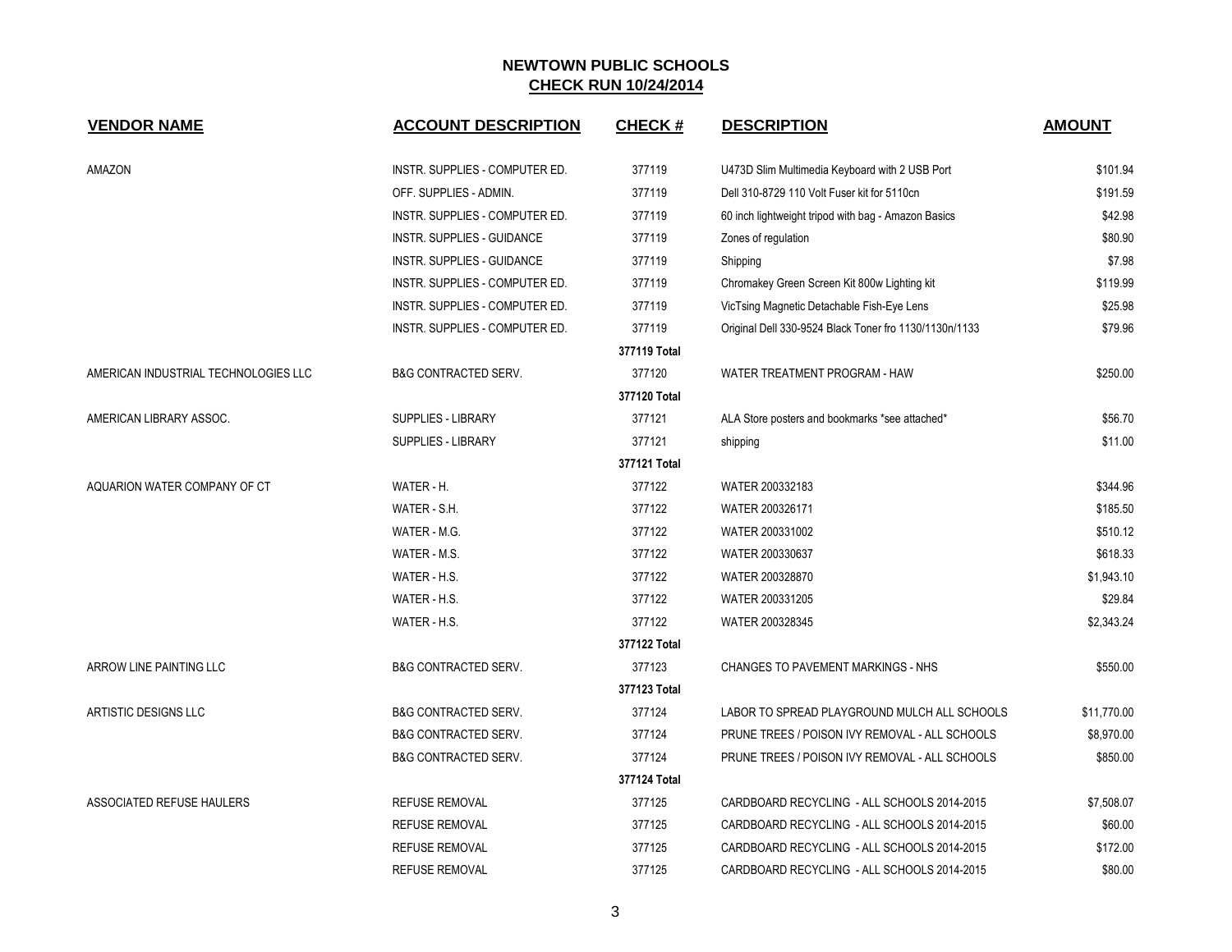| <b>VENDOR NAME</b>                   | <b>ACCOUNT DESCRIPTION</b>      | <b>CHECK#</b> | <b>DESCRIPTION</b>                                     | <b>AMOUNT</b> |
|--------------------------------------|---------------------------------|---------------|--------------------------------------------------------|---------------|
| AMAZON                               | INSTR. SUPPLIES - COMPUTER ED.  | 377119        | U473D Slim Multimedia Keyboard with 2 USB Port         | \$101.94      |
|                                      | OFF. SUPPLIES - ADMIN.          | 377119        | Dell 310-8729 110 Volt Fuser kit for 5110cn            | \$191.59      |
|                                      | INSTR. SUPPLIES - COMPUTER ED.  | 377119        | 60 inch lightweight tripod with bag - Amazon Basics    | \$42.98       |
|                                      | INSTR. SUPPLIES - GUIDANCE      | 377119        | Zones of regulation                                    | \$80.90       |
|                                      | INSTR. SUPPLIES - GUIDANCE      | 377119        | Shipping                                               | \$7.98        |
|                                      | INSTR. SUPPLIES - COMPUTER ED.  | 377119        | Chromakey Green Screen Kit 800w Lighting kit           | \$119.99      |
|                                      | INSTR. SUPPLIES - COMPUTER ED.  | 377119        | VicTsing Magnetic Detachable Fish-Eye Lens             | \$25.98       |
|                                      | INSTR. SUPPLIES - COMPUTER ED.  | 377119        | Original Dell 330-9524 Black Toner fro 1130/1130n/1133 | \$79.96       |
|                                      |                                 | 377119 Total  |                                                        |               |
| AMERICAN INDUSTRIAL TECHNOLOGIES LLC | <b>B&amp;G CONTRACTED SERV.</b> | 377120        | WATER TREATMENT PROGRAM - HAW                          | \$250.00      |
|                                      |                                 | 377120 Total  |                                                        |               |
| AMERICAN LIBRARY ASSOC.              | SUPPLIES - LIBRARY              | 377121        | ALA Store posters and bookmarks *see attached*         | \$56.70       |
|                                      | <b>SUPPLIES - LIBRARY</b>       | 377121        | shipping                                               | \$11.00       |
|                                      |                                 | 377121 Total  |                                                        |               |
| AQUARION WATER COMPANY OF CT         | WATER - H.                      | 377122        | WATER 200332183                                        | \$344.96      |
|                                      | WATER - S.H.                    | 377122        | WATER 200326171                                        | \$185.50      |
|                                      | WATER - M.G.                    | 377122        | WATER 200331002                                        | \$510.12      |
|                                      | WATER - M.S.                    | 377122        | WATER 200330637                                        | \$618.33      |
|                                      | WATER - H.S.                    | 377122        | WATER 200328870                                        | \$1,943.10    |
|                                      | WATER - H.S.                    | 377122        | WATER 200331205                                        | \$29.84       |
|                                      | WATER - H.S.                    | 377122        | WATER 200328345                                        | \$2,343.24    |
|                                      |                                 | 377122 Total  |                                                        |               |
| ARROW LINE PAINTING LLC              | <b>B&amp;G CONTRACTED SERV.</b> | 377123        | CHANGES TO PAVEMENT MARKINGS - NHS                     | \$550.00      |
|                                      |                                 | 377123 Total  |                                                        |               |
| ARTISTIC DESIGNS LLC                 | <b>B&amp;G CONTRACTED SERV.</b> | 377124        | LABOR TO SPREAD PLAYGROUND MULCH ALL SCHOOLS           | \$11,770.00   |
|                                      | <b>B&amp;G CONTRACTED SERV.</b> | 377124        | PRUNE TREES / POISON IVY REMOVAL - ALL SCHOOLS         | \$8,970.00    |
|                                      | <b>B&amp;G CONTRACTED SERV.</b> | 377124        | PRUNE TREES / POISON IVY REMOVAL - ALL SCHOOLS         | \$850.00      |
|                                      |                                 | 377124 Total  |                                                        |               |
| ASSOCIATED REFUSE HAULERS            | <b>REFUSE REMOVAL</b>           | 377125        | CARDBOARD RECYCLING - ALL SCHOOLS 2014-2015            | \$7,508.07    |
|                                      | <b>REFUSE REMOVAL</b>           | 377125        | CARDBOARD RECYCLING - ALL SCHOOLS 2014-2015            | \$60.00       |
|                                      | <b>REFUSE REMOVAL</b>           | 377125        | CARDBOARD RECYCLING - ALL SCHOOLS 2014-2015            | \$172.00      |
|                                      | <b>REFUSE REMOVAL</b>           | 377125        | CARDBOARD RECYCLING - ALL SCHOOLS 2014-2015            | \$80.00       |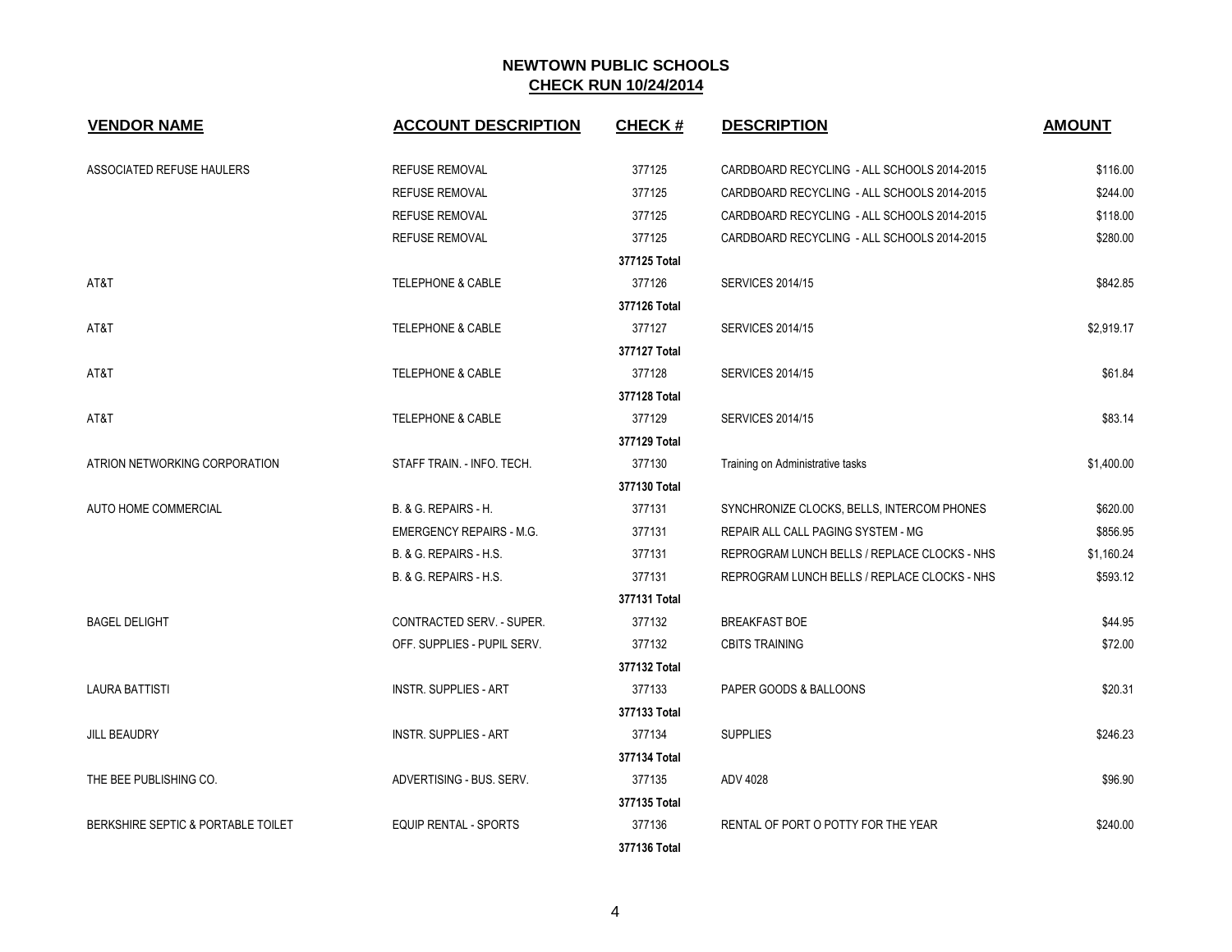| <b>VENDOR NAME</b>                 | <b>ACCOUNT DESCRIPTION</b>      | <b>CHECK#</b> | <b>DESCRIPTION</b>                           | <b>AMOUNT</b> |
|------------------------------------|---------------------------------|---------------|----------------------------------------------|---------------|
| <b>ASSOCIATED REFUSE HAULERS</b>   | <b>REFUSE REMOVAL</b>           | 377125        | CARDBOARD RECYCLING - ALL SCHOOLS 2014-2015  | \$116.00      |
|                                    | <b>REFUSE REMOVAL</b>           | 377125        | CARDBOARD RECYCLING - ALL SCHOOLS 2014-2015  | \$244.00      |
|                                    | <b>REFUSE REMOVAL</b>           | 377125        | CARDBOARD RECYCLING - ALL SCHOOLS 2014-2015  | \$118.00      |
|                                    | <b>REFUSE REMOVAL</b>           | 377125        | CARDBOARD RECYCLING - ALL SCHOOLS 2014-2015  | \$280.00      |
|                                    |                                 | 377125 Total  |                                              |               |
| AT&T                               | <b>TELEPHONE &amp; CABLE</b>    | 377126        | <b>SERVICES 2014/15</b>                      | \$842.85      |
|                                    |                                 | 377126 Total  |                                              |               |
| AT&T                               | <b>TELEPHONE &amp; CABLE</b>    | 377127        | <b>SERVICES 2014/15</b>                      | \$2,919.17    |
|                                    |                                 | 377127 Total  |                                              |               |
| AT&T                               | <b>TELEPHONE &amp; CABLE</b>    | 377128        | <b>SERVICES 2014/15</b>                      | \$61.84       |
|                                    |                                 | 377128 Total  |                                              |               |
| AT&T                               | <b>TELEPHONE &amp; CABLE</b>    | 377129        | <b>SERVICES 2014/15</b>                      | \$83.14       |
|                                    |                                 | 377129 Total  |                                              |               |
| ATRION NETWORKING CORPORATION      | STAFF TRAIN. - INFO. TECH.      | 377130        | Training on Administrative tasks             | \$1,400.00    |
|                                    |                                 | 377130 Total  |                                              |               |
| AUTO HOME COMMERCIAL               | B. & G. REPAIRS - H.            | 377131        | SYNCHRONIZE CLOCKS, BELLS, INTERCOM PHONES   | \$620.00      |
|                                    | <b>EMERGENCY REPAIRS - M.G.</b> | 377131        | REPAIR ALL CALL PAGING SYSTEM - MG           | \$856.95      |
|                                    | B. & G. REPAIRS - H.S.          | 377131        | REPROGRAM LUNCH BELLS / REPLACE CLOCKS - NHS | \$1,160.24    |
|                                    | B. & G. REPAIRS - H.S.          | 377131        | REPROGRAM LUNCH BELLS / REPLACE CLOCKS - NHS | \$593.12      |
|                                    |                                 | 377131 Total  |                                              |               |
| <b>BAGEL DELIGHT</b>               | CONTRACTED SERV. - SUPER.       | 377132        | <b>BREAKFAST BOE</b>                         | \$44.95       |
|                                    | OFF. SUPPLIES - PUPIL SERV.     | 377132        | <b>CBITS TRAINING</b>                        | \$72.00       |
|                                    |                                 | 377132 Total  |                                              |               |
| <b>LAURA BATTISTI</b>              | <b>INSTR. SUPPLIES - ART</b>    | 377133        | PAPER GOODS & BALLOONS                       | \$20.31       |
|                                    |                                 | 377133 Total  |                                              |               |
| <b>JILL BEAUDRY</b>                | <b>INSTR. SUPPLIES - ART</b>    | 377134        | <b>SUPPLIES</b>                              | \$246.23      |
|                                    |                                 | 377134 Total  |                                              |               |
| THE BEE PUBLISHING CO.             | ADVERTISING - BUS, SERV.        | 377135        | ADV 4028                                     | \$96.90       |
|                                    |                                 | 377135 Total  |                                              |               |
| BERKSHIRE SEPTIC & PORTABLE TOILET | <b>EQUIP RENTAL - SPORTS</b>    | 377136        | RENTAL OF PORT O POTTY FOR THE YEAR          | \$240.00      |
|                                    |                                 | 377136 Total  |                                              |               |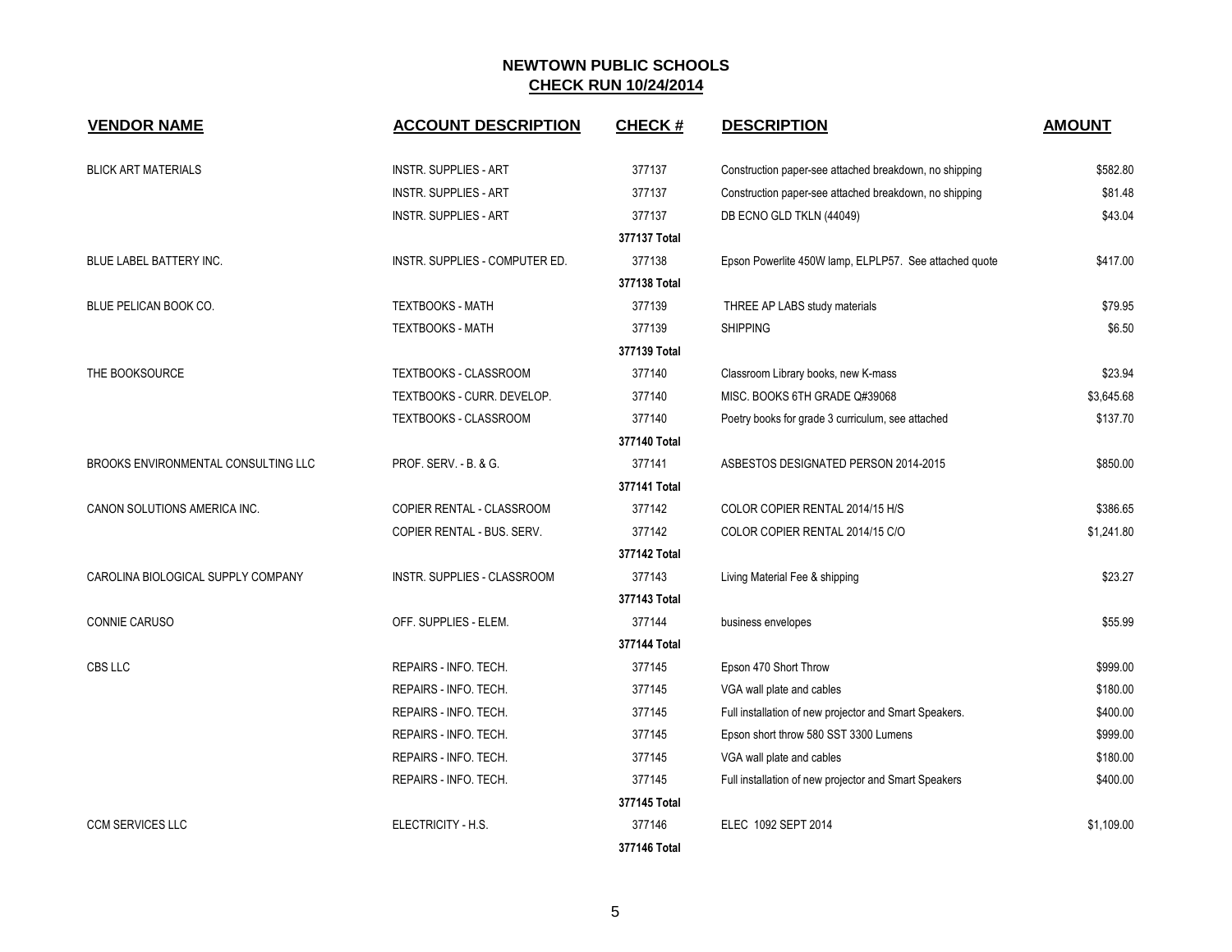| <b>VENDOR NAME</b>                  | <b>ACCOUNT DESCRIPTION</b>     | <b>CHECK#</b> | <b>DESCRIPTION</b>                                     | <b>AMOUNT</b> |
|-------------------------------------|--------------------------------|---------------|--------------------------------------------------------|---------------|
| <b>BLICK ART MATERIALS</b>          | <b>INSTR. SUPPLIES - ART</b>   | 377137        | Construction paper-see attached breakdown, no shipping | \$582.80      |
|                                     | <b>INSTR. SUPPLIES - ART</b>   | 377137        | Construction paper-see attached breakdown, no shipping | \$81.48       |
|                                     | <b>INSTR. SUPPLIES - ART</b>   | 377137        | DB ECNO GLD TKLN (44049)                               | \$43.04       |
|                                     |                                | 377137 Total  |                                                        |               |
| BLUE LABEL BATTERY INC.             | INSTR. SUPPLIES - COMPUTER ED. | 377138        | Epson Powerlite 450W lamp, ELPLP57. See attached quote | \$417.00      |
|                                     |                                | 377138 Total  |                                                        |               |
| BLUE PELICAN BOOK CO.               | <b>TEXTBOOKS - MATH</b>        | 377139        | THREE AP LABS study materials                          | \$79.95       |
|                                     | <b>TEXTBOOKS - MATH</b>        | 377139        | <b>SHIPPING</b>                                        | \$6.50        |
|                                     |                                | 377139 Total  |                                                        |               |
| THE BOOKSOURCE                      | TEXTBOOKS - CLASSROOM          | 377140        | Classroom Library books, new K-mass                    | \$23.94       |
|                                     | TEXTBOOKS - CURR. DEVELOP.     | 377140        | MISC. BOOKS 6TH GRADE Q#39068                          | \$3,645.68    |
|                                     | TEXTBOOKS - CLASSROOM          | 377140        | Poetry books for grade 3 curriculum, see attached      | \$137.70      |
|                                     |                                | 377140 Total  |                                                        |               |
| BROOKS ENVIRONMENTAL CONSULTING LLC | PROF. SERV. - B. & G.          | 377141        | ASBESTOS DESIGNATED PERSON 2014-2015                   | \$850.00      |
|                                     |                                | 377141 Total  |                                                        |               |
| CANON SOLUTIONS AMERICA INC.        | COPIER RENTAL - CLASSROOM      | 377142        | COLOR COPIER RENTAL 2014/15 H/S                        | \$386.65      |
|                                     | COPIER RENTAL - BUS. SERV.     | 377142        | COLOR COPIER RENTAL 2014/15 C/O                        | \$1,241.80    |
|                                     |                                | 377142 Total  |                                                        |               |
| CAROLINA BIOLOGICAL SUPPLY COMPANY  | INSTR. SUPPLIES - CLASSROOM    | 377143        | Living Material Fee & shipping                         | \$23.27       |
|                                     |                                | 377143 Total  |                                                        |               |
| CONNIE CARUSO                       | OFF. SUPPLIES - ELEM.          | 377144        | business envelopes                                     | \$55.99       |
|                                     |                                | 377144 Total  |                                                        |               |
| CBS LLC                             | REPAIRS - INFO. TECH.          | 377145        | Epson 470 Short Throw                                  | \$999.00      |
|                                     | REPAIRS - INFO. TECH.          | 377145        | VGA wall plate and cables                              | \$180.00      |
|                                     | REPAIRS - INFO. TECH.          | 377145        | Full installation of new projector and Smart Speakers. | \$400.00      |
|                                     | REPAIRS - INFO. TECH.          | 377145        | Epson short throw 580 SST 3300 Lumens                  | \$999.00      |
|                                     | REPAIRS - INFO. TECH.          | 377145        | VGA wall plate and cables                              | \$180.00      |
|                                     | REPAIRS - INFO. TECH.          | 377145        | Full installation of new projector and Smart Speakers  | \$400.00      |
|                                     |                                | 377145 Total  |                                                        |               |
| <b>CCM SERVICES LLC</b>             | ELECTRICITY - H.S.             | 377146        | ELEC 1092 SEPT 2014                                    | \$1,109.00    |
|                                     |                                | 377146 Total  |                                                        |               |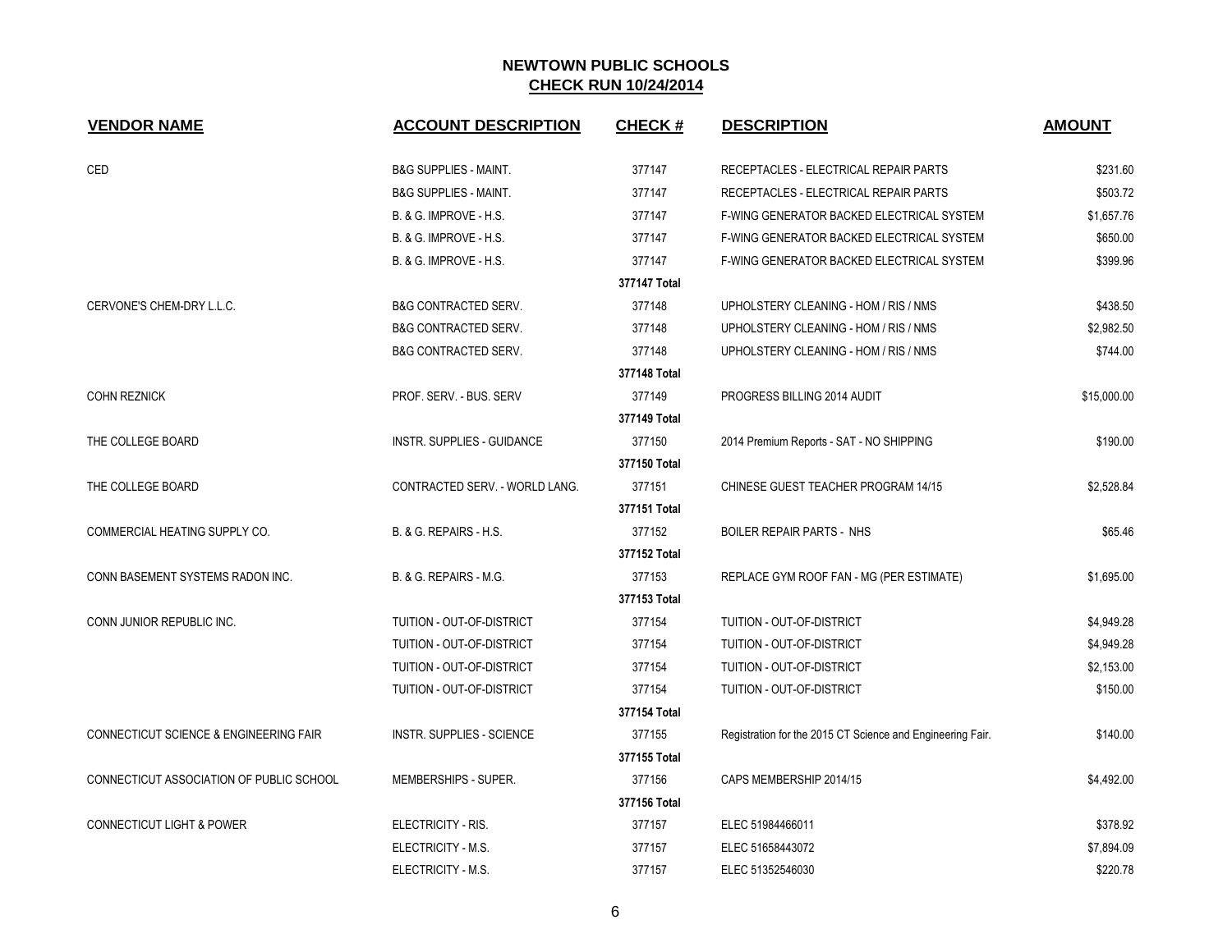| <b>VENDOR NAME</b>                       | <b>ACCOUNT DESCRIPTION</b>        | <b>CHECK#</b> | <b>DESCRIPTION</b>                                         | <b>AMOUNT</b> |
|------------------------------------------|-----------------------------------|---------------|------------------------------------------------------------|---------------|
| CED                                      | <b>B&amp;G SUPPLIES - MAINT.</b>  | 377147        | RECEPTACLES - ELECTRICAL REPAIR PARTS                      | \$231.60      |
|                                          | <b>B&amp;G SUPPLIES - MAINT.</b>  | 377147        | RECEPTACLES - ELECTRICAL REPAIR PARTS                      | \$503.72      |
|                                          | B. & G. IMPROVE - H.S.            | 377147        | F-WING GENERATOR BACKED ELECTRICAL SYSTEM                  | \$1,657.76    |
|                                          | B. & G. IMPROVE - H.S.            | 377147        | F-WING GENERATOR BACKED ELECTRICAL SYSTEM                  | \$650.00      |
|                                          | <b>B. &amp; G. IMPROVE - H.S.</b> | 377147        | F-WING GENERATOR BACKED ELECTRICAL SYSTEM                  | \$399.96      |
|                                          |                                   | 377147 Total  |                                                            |               |
| CERVONE'S CHEM-DRY L.L.C.                | <b>B&amp;G CONTRACTED SERV.</b>   | 377148        | UPHOLSTERY CLEANING - HOM / RIS / NMS                      | \$438.50      |
|                                          | <b>B&amp;G CONTRACTED SERV.</b>   | 377148        | UPHOLSTERY CLEANING - HOM / RIS / NMS                      | \$2,982.50    |
|                                          | <b>B&amp;G CONTRACTED SERV.</b>   | 377148        | UPHOLSTERY CLEANING - HOM / RIS / NMS                      | \$744.00      |
|                                          |                                   | 377148 Total  |                                                            |               |
| <b>COHN REZNICK</b>                      | PROF. SERV. - BUS. SERV           | 377149        | PROGRESS BILLING 2014 AUDIT                                | \$15,000.00   |
|                                          |                                   | 377149 Total  |                                                            |               |
| THE COLLEGE BOARD                        | <b>INSTR. SUPPLIES - GUIDANCE</b> | 377150        | 2014 Premium Reports - SAT - NO SHIPPING                   | \$190.00      |
|                                          |                                   | 377150 Total  |                                                            |               |
| THE COLLEGE BOARD                        | CONTRACTED SERV. - WORLD LANG.    | 377151        | CHINESE GUEST TEACHER PROGRAM 14/15                        | \$2,528.84    |
|                                          |                                   | 377151 Total  |                                                            |               |
| COMMERCIAL HEATING SUPPLY CO.            | B. & G. REPAIRS - H.S.            | 377152        | <b>BOILER REPAIR PARTS - NHS</b>                           | \$65.46       |
|                                          |                                   | 377152 Total  |                                                            |               |
| CONN BASEMENT SYSTEMS RADON INC.         | B. & G. REPAIRS - M.G.            | 377153        | REPLACE GYM ROOF FAN - MG (PER ESTIMATE)                   | \$1,695.00    |
|                                          |                                   | 377153 Total  |                                                            |               |
| CONN JUNIOR REPUBLIC INC.                | TUITION - OUT-OF-DISTRICT         | 377154        | TUITION - OUT-OF-DISTRICT                                  | \$4,949.28    |
|                                          | TUITION - OUT-OF-DISTRICT         | 377154        | TUITION - OUT-OF-DISTRICT                                  | \$4,949.28    |
|                                          | TUITION - OUT-OF-DISTRICT         | 377154        | TUITION - OUT-OF-DISTRICT                                  | \$2,153.00    |
|                                          | TUITION - OUT-OF-DISTRICT         | 377154        | TUITION - OUT-OF-DISTRICT                                  | \$150.00      |
|                                          |                                   | 377154 Total  |                                                            |               |
| CONNECTICUT SCIENCE & ENGINEERING FAIR   | INSTR. SUPPLIES - SCIENCE         | 377155        | Registration for the 2015 CT Science and Engineering Fair. | \$140.00      |
|                                          |                                   | 377155 Total  |                                                            |               |
| CONNECTICUT ASSOCIATION OF PUBLIC SCHOOL | MEMBERSHIPS - SUPER.              | 377156        | CAPS MEMBERSHIP 2014/15                                    | \$4,492.00    |
|                                          |                                   | 377156 Total  |                                                            |               |
| <b>CONNECTICUT LIGHT &amp; POWER</b>     | ELECTRICITY - RIS.                | 377157        | ELEC 51984466011                                           | \$378.92      |
|                                          | ELECTRICITY - M.S.                | 377157        | ELEC 51658443072                                           | \$7,894.09    |
|                                          | ELECTRICITY - M.S.                | 377157        | ELEC 51352546030                                           | \$220.78      |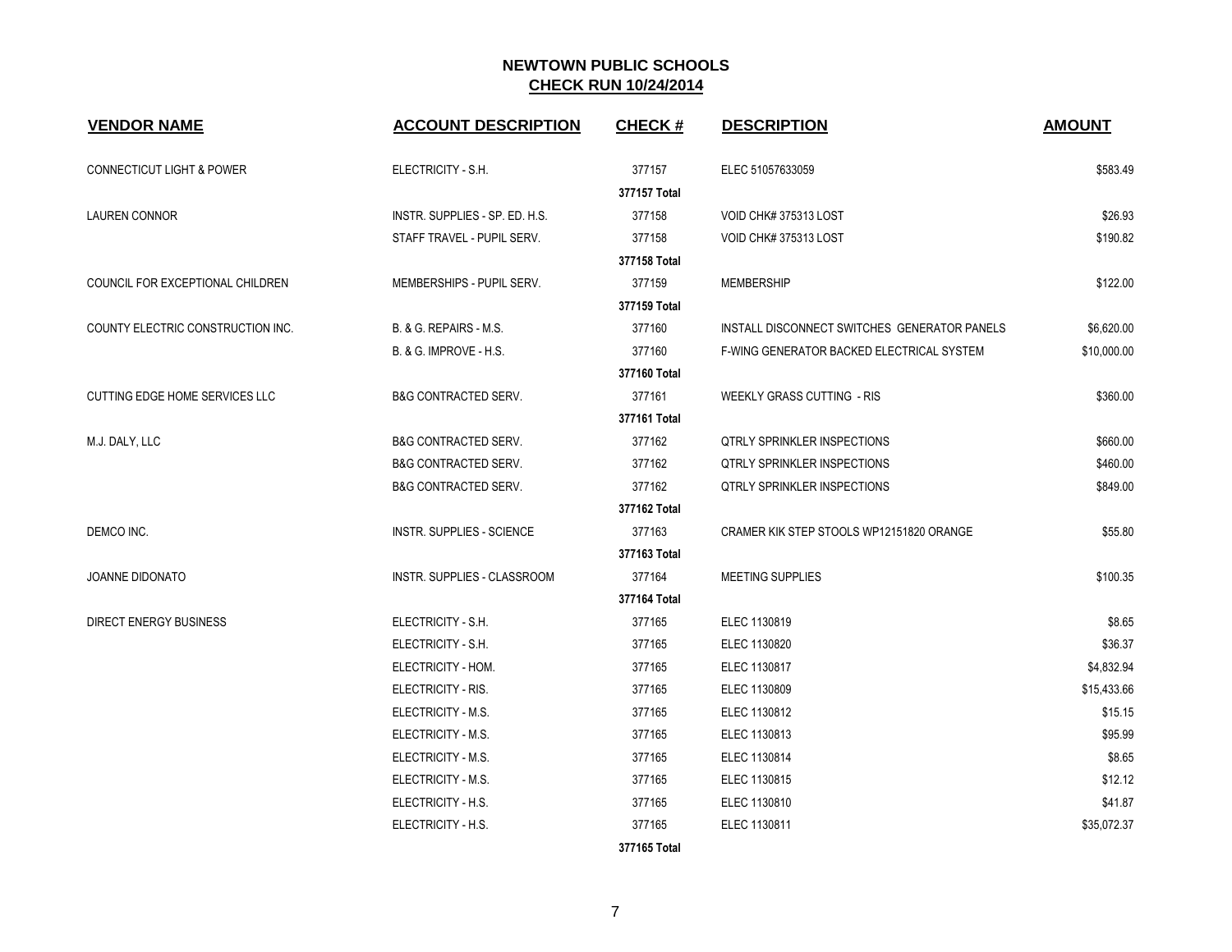| <b>VENDOR NAME</b>                   | <b>ACCOUNT DESCRIPTION</b>      | <b>CHECK#</b> | <b>DESCRIPTION</b>                           | <b>AMOUNT</b> |
|--------------------------------------|---------------------------------|---------------|----------------------------------------------|---------------|
| <b>CONNECTICUT LIGHT &amp; POWER</b> | ELECTRICITY - S.H.              | 377157        | ELEC 51057633059                             | \$583.49      |
|                                      |                                 | 377157 Total  |                                              |               |
| <b>LAUREN CONNOR</b>                 | INSTR. SUPPLIES - SP. ED. H.S.  | 377158        | VOID CHK# 375313 LOST                        | \$26.93       |
|                                      | STAFF TRAVEL - PUPIL SERV.      | 377158        | VOID CHK# 375313 LOST                        | \$190.82      |
|                                      |                                 | 377158 Total  |                                              |               |
| COUNCIL FOR EXCEPTIONAL CHILDREN     | MEMBERSHIPS - PUPIL SERV.       | 377159        | MEMBERSHIP                                   | \$122.00      |
|                                      |                                 | 377159 Total  |                                              |               |
| COUNTY ELECTRIC CONSTRUCTION INC.    | B. & G. REPAIRS - M.S.          | 377160        | INSTALL DISCONNECT SWITCHES GENERATOR PANELS | \$6,620.00    |
|                                      | B. & G. IMPROVE - H.S.          | 377160        | F-WING GENERATOR BACKED ELECTRICAL SYSTEM    | \$10,000.00   |
|                                      |                                 | 377160 Total  |                                              |               |
| CUTTING EDGE HOME SERVICES LLC       | <b>B&amp;G CONTRACTED SERV.</b> | 377161        | WEEKLY GRASS CUTTING - RIS                   | \$360.00      |
|                                      |                                 | 377161 Total  |                                              |               |
| M.J. DALY, LLC                       | <b>B&amp;G CONTRACTED SERV.</b> | 377162        | <b>QTRLY SPRINKLER INSPECTIONS</b>           | \$660.00      |
|                                      | <b>B&amp;G CONTRACTED SERV.</b> | 377162        | <b>QTRLY SPRINKLER INSPECTIONS</b>           | \$460.00      |
|                                      | <b>B&amp;G CONTRACTED SERV.</b> | 377162        | <b>QTRLY SPRINKLER INSPECTIONS</b>           | \$849.00      |
|                                      |                                 | 377162 Total  |                                              |               |
| DEMCO INC.                           | INSTR. SUPPLIES - SCIENCE       | 377163        | CRAMER KIK STEP STOOLS WP12151820 ORANGE     | \$55.80       |
|                                      |                                 | 377163 Total  |                                              |               |
| <b>JOANNE DIDONATO</b>               | INSTR. SUPPLIES - CLASSROOM     | 377164        | MEETING SUPPLIES                             | \$100.35      |
|                                      |                                 | 377164 Total  |                                              |               |
| <b>DIRECT ENERGY BUSINESS</b>        | ELECTRICITY - S.H.              | 377165        | ELEC 1130819                                 | \$8.65        |
|                                      | ELECTRICITY - S.H.              | 377165        | ELEC 1130820                                 | \$36.37       |
|                                      | ELECTRICITY - HOM.              | 377165        | ELEC 1130817                                 | \$4,832.94    |
|                                      | ELECTRICITY - RIS.              | 377165        | ELEC 1130809                                 | \$15,433.66   |
|                                      | ELECTRICITY - M.S.              | 377165        | ELEC 1130812                                 | \$15.15       |
|                                      | ELECTRICITY - M.S.              | 377165        | ELEC 1130813                                 | \$95.99       |
|                                      | ELECTRICITY - M.S.              | 377165        | ELEC 1130814                                 | \$8.65        |
|                                      | ELECTRICITY - M.S.              | 377165        | ELEC 1130815                                 | \$12.12       |
|                                      | ELECTRICITY - H.S.              | 377165        | ELEC 1130810                                 | \$41.87       |
|                                      | ELECTRICITY - H.S.              | 377165        | ELEC 1130811                                 | \$35,072.37   |
|                                      |                                 | 377165 Total  |                                              |               |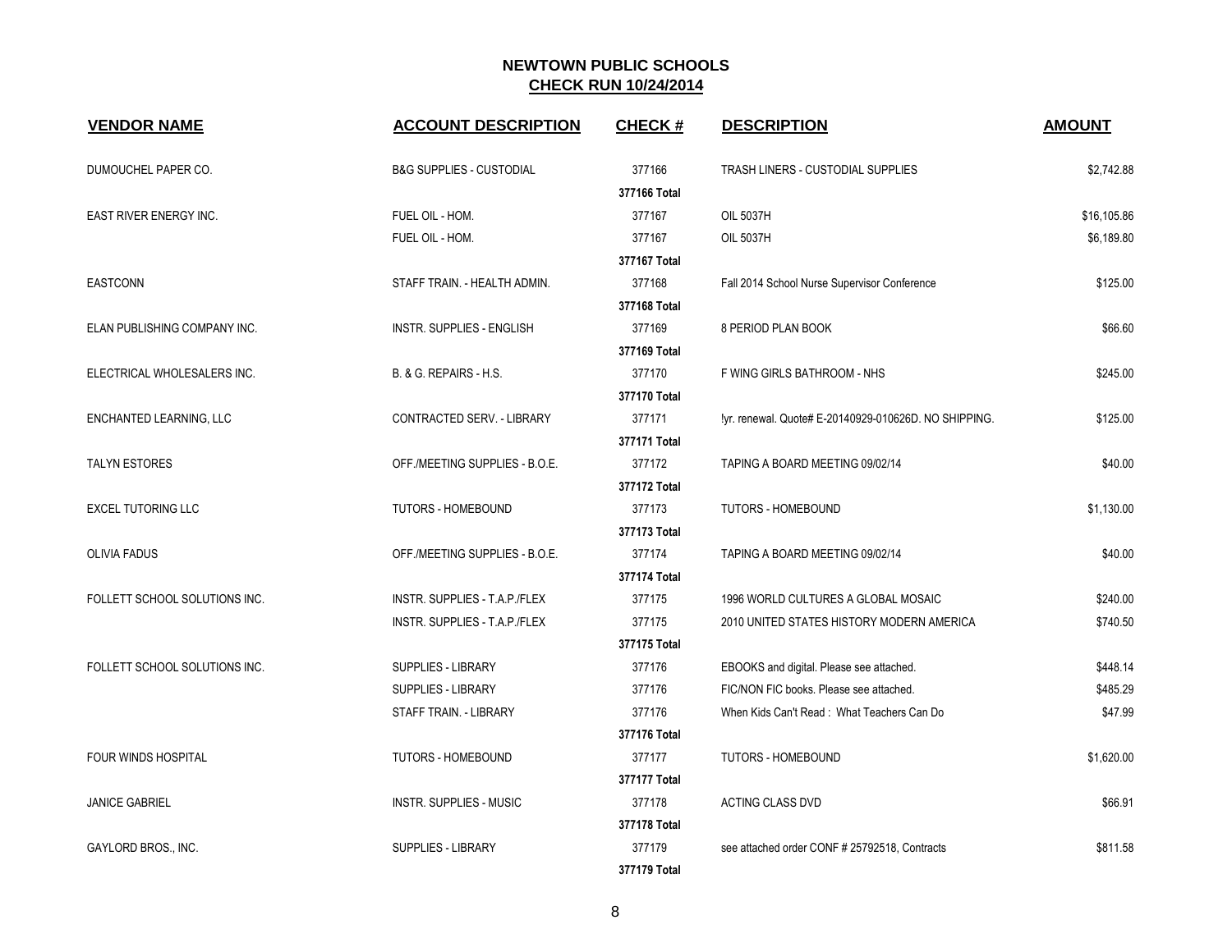| <b>VENDOR NAME</b>            | <b>ACCOUNT DESCRIPTION</b>          | <b>CHECK#</b> | <b>DESCRIPTION</b>                                    | <b>AMOUNT</b> |
|-------------------------------|-------------------------------------|---------------|-------------------------------------------------------|---------------|
| DUMOUCHEL PAPER CO.           | <b>B&amp;G SUPPLIES - CUSTODIAL</b> | 377166        | TRASH LINERS - CUSTODIAL SUPPLIES                     | \$2,742.88    |
|                               |                                     | 377166 Total  |                                                       |               |
| EAST RIVER ENERGY INC.        | FUEL OIL - HOM.                     | 377167        | <b>OIL 5037H</b>                                      | \$16,105.86   |
|                               | FUEL OIL - HOM.                     | 377167        | <b>OIL 5037H</b>                                      | \$6,189.80    |
|                               |                                     | 377167 Total  |                                                       |               |
| <b>EASTCONN</b>               | STAFF TRAIN. - HEALTH ADMIN.        | 377168        | Fall 2014 School Nurse Supervisor Conference          | \$125.00      |
|                               |                                     | 377168 Total  |                                                       |               |
| ELAN PUBLISHING COMPANY INC.  | <b>INSTR. SUPPLIES - ENGLISH</b>    | 377169        | 8 PERIOD PLAN BOOK                                    | \$66.60       |
|                               |                                     | 377169 Total  |                                                       |               |
| ELECTRICAL WHOLESALERS INC.   | B. & G. REPAIRS - H.S.              | 377170        | F WING GIRLS BATHROOM - NHS                           | \$245.00      |
|                               |                                     | 377170 Total  |                                                       |               |
| ENCHANTED LEARNING, LLC       | CONTRACTED SERV. - LIBRARY          | 377171        | !yr. renewal. Quote# E-20140929-010626D. NO SHIPPING. | \$125.00      |
|                               |                                     | 377171 Total  |                                                       |               |
| <b>TALYN ESTORES</b>          | OFF./MEETING SUPPLIES - B.O.E.      | 377172        | TAPING A BOARD MEETING 09/02/14                       | \$40.00       |
|                               |                                     | 377172 Total  |                                                       |               |
| <b>EXCEL TUTORING LLC</b>     | <b>TUTORS - HOMEBOUND</b>           | 377173        | TUTORS - HOMEBOUND                                    | \$1,130.00    |
|                               |                                     | 377173 Total  |                                                       |               |
| <b>OLIVIA FADUS</b>           | OFF./MEETING SUPPLIES - B.O.E.      | 377174        | TAPING A BOARD MEETING 09/02/14                       | \$40.00       |
|                               |                                     | 377174 Total  |                                                       |               |
| FOLLETT SCHOOL SOLUTIONS INC. | INSTR. SUPPLIES - T.A.P./FLEX       | 377175        | 1996 WORLD CULTURES A GLOBAL MOSAIC                   | \$240.00      |
|                               | INSTR. SUPPLIES - T.A.P./FLEX       | 377175        | 2010 UNITED STATES HISTORY MODERN AMERICA             | \$740.50      |
|                               |                                     | 377175 Total  |                                                       |               |
| FOLLETT SCHOOL SOLUTIONS INC. | SUPPLIES - LIBRARY                  | 377176        | EBOOKS and digital. Please see attached.              | \$448.14      |
|                               | SUPPLIES - LIBRARY                  | 377176        | FIC/NON FIC books. Please see attached.               | \$485.29      |
|                               | STAFF TRAIN. - LIBRARY              | 377176        | When Kids Can't Read: What Teachers Can Do            | \$47.99       |
|                               |                                     | 377176 Total  |                                                       |               |
| FOUR WINDS HOSPITAL           | TUTORS - HOMEBOUND                  | 377177        | TUTORS - HOMEBOUND                                    | \$1,620.00    |
|                               |                                     | 377177 Total  |                                                       |               |
| <b>JANICE GABRIEL</b>         | <b>INSTR. SUPPLIES - MUSIC</b>      | 377178        | <b>ACTING CLASS DVD</b>                               | \$66.91       |
|                               |                                     | 377178 Total  |                                                       |               |
| GAYLORD BROS., INC.           | SUPPLIES - LIBRARY                  | 377179        | see attached order CONF # 25792518, Contracts         | \$811.58      |
|                               |                                     | 377179 Total  |                                                       |               |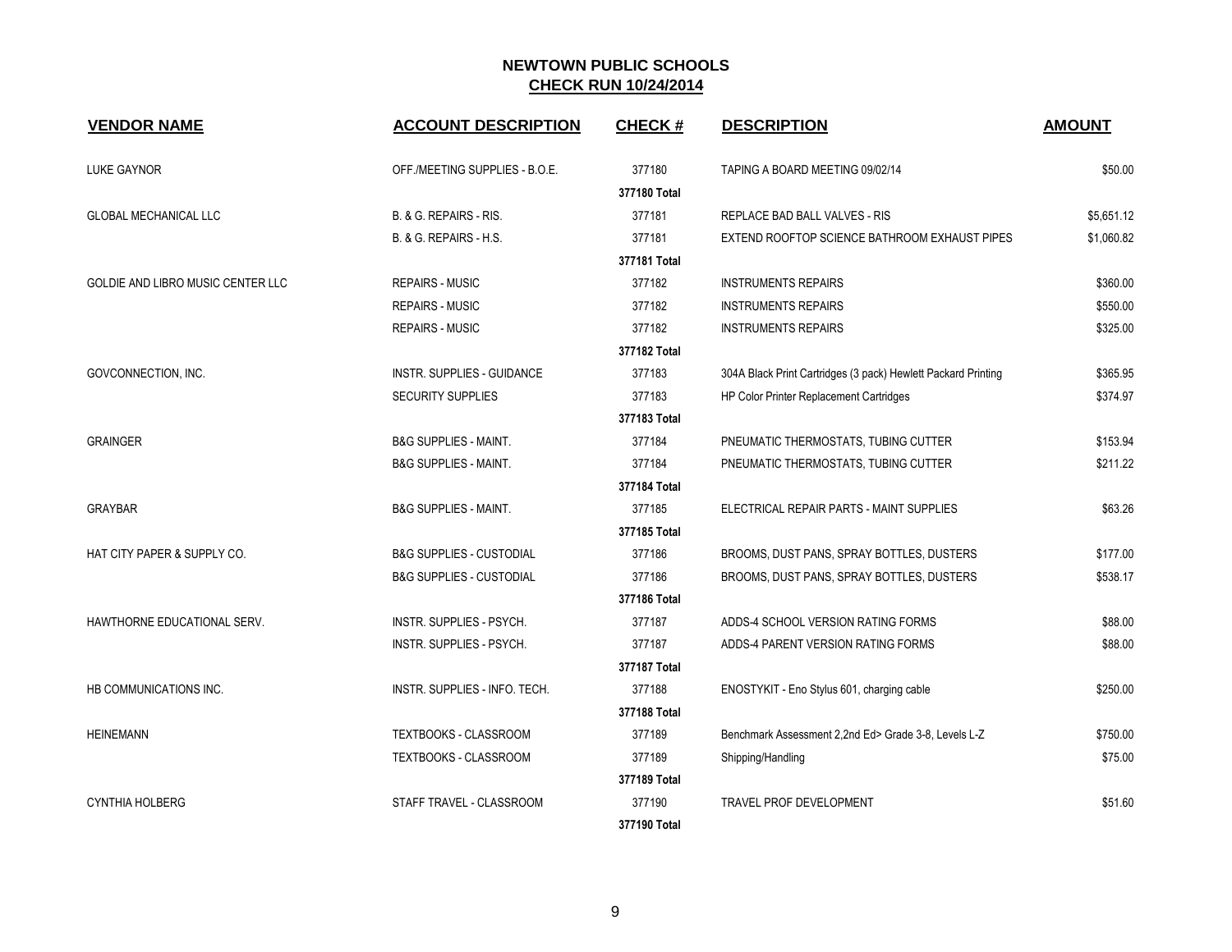| <b>VENDOR NAME</b>                | <b>ACCOUNT DESCRIPTION</b>          | <b>CHECK#</b> | <b>DESCRIPTION</b>                                            | <b>AMOUNT</b> |
|-----------------------------------|-------------------------------------|---------------|---------------------------------------------------------------|---------------|
| <b>LUKE GAYNOR</b>                | OFF./MEETING SUPPLIES - B.O.E.      | 377180        | TAPING A BOARD MEETING 09/02/14                               | \$50.00       |
|                                   |                                     | 377180 Total  |                                                               |               |
| <b>GLOBAL MECHANICAL LLC</b>      | B. & G. REPAIRS - RIS.              | 377181        | REPLACE BAD BALL VALVES - RIS                                 | \$5,651.12    |
|                                   | B. & G. REPAIRS - H.S.              | 377181        | EXTEND ROOFTOP SCIENCE BATHROOM EXHAUST PIPES                 | \$1,060.82    |
|                                   |                                     | 377181 Total  |                                                               |               |
| GOLDIE AND LIBRO MUSIC CENTER LLC | <b>REPAIRS - MUSIC</b>              | 377182        | <b>INSTRUMENTS REPAIRS</b>                                    | \$360.00      |
|                                   | <b>REPAIRS - MUSIC</b>              | 377182        | <b>INSTRUMENTS REPAIRS</b>                                    | \$550.00      |
|                                   | <b>REPAIRS - MUSIC</b>              | 377182        | <b>INSTRUMENTS REPAIRS</b>                                    | \$325.00      |
|                                   |                                     | 377182 Total  |                                                               |               |
| GOVCONNECTION, INC.               | <b>INSTR. SUPPLIES - GUIDANCE</b>   | 377183        | 304A Black Print Cartridges (3 pack) Hewlett Packard Printing | \$365.95      |
|                                   | SECURITY SUPPLIES                   | 377183        | HP Color Printer Replacement Cartridges                       | \$374.97      |
|                                   |                                     | 377183 Total  |                                                               |               |
| <b>GRAINGER</b>                   | <b>B&amp;G SUPPLIES - MAINT.</b>    | 377184        | PNEUMATIC THERMOSTATS, TUBING CUTTER                          | \$153.94      |
|                                   | <b>B&amp;G SUPPLIES - MAINT.</b>    | 377184        | PNEUMATIC THERMOSTATS, TUBING CUTTER                          | \$211.22      |
|                                   |                                     | 377184 Total  |                                                               |               |
| <b>GRAYBAR</b>                    | <b>B&amp;G SUPPLIES - MAINT.</b>    | 377185        | ELECTRICAL REPAIR PARTS - MAINT SUPPLIES                      | \$63.26       |
|                                   |                                     | 377185 Total  |                                                               |               |
| HAT CITY PAPER & SUPPLY CO.       | <b>B&amp;G SUPPLIES - CUSTODIAL</b> | 377186        | BROOMS, DUST PANS, SPRAY BOTTLES, DUSTERS                     | \$177.00      |
|                                   | <b>B&amp;G SUPPLIES - CUSTODIAL</b> | 377186        | BROOMS, DUST PANS, SPRAY BOTTLES, DUSTERS                     | \$538.17      |
|                                   |                                     | 377186 Total  |                                                               |               |
| HAWTHORNE EDUCATIONAL SERV.       | INSTR. SUPPLIES - PSYCH.            | 377187        | ADDS-4 SCHOOL VERSION RATING FORMS                            | \$88.00       |
|                                   | INSTR. SUPPLIES - PSYCH.            | 377187        | ADDS-4 PARENT VERSION RATING FORMS                            | \$88.00       |
|                                   |                                     | 377187 Total  |                                                               |               |
| HB COMMUNICATIONS INC.            | INSTR. SUPPLIES - INFO. TECH.       | 377188        | ENOSTYKIT - Eno Stylus 601, charging cable                    | \$250.00      |
|                                   |                                     | 377188 Total  |                                                               |               |
| <b>HEINEMANN</b>                  | <b>TEXTBOOKS - CLASSROOM</b>        | 377189        | Benchmark Assessment 2,2nd Ed> Grade 3-8, Levels L-Z          | \$750.00      |
|                                   | TEXTBOOKS - CLASSROOM               | 377189        | Shipping/Handling                                             | \$75.00       |
|                                   |                                     | 377189 Total  |                                                               |               |
| <b>CYNTHIA HOLBERG</b>            | STAFF TRAVEL - CLASSROOM            | 377190        | <b>TRAVEL PROF DEVELOPMENT</b>                                | \$51.60       |
|                                   |                                     | 377190 Total  |                                                               |               |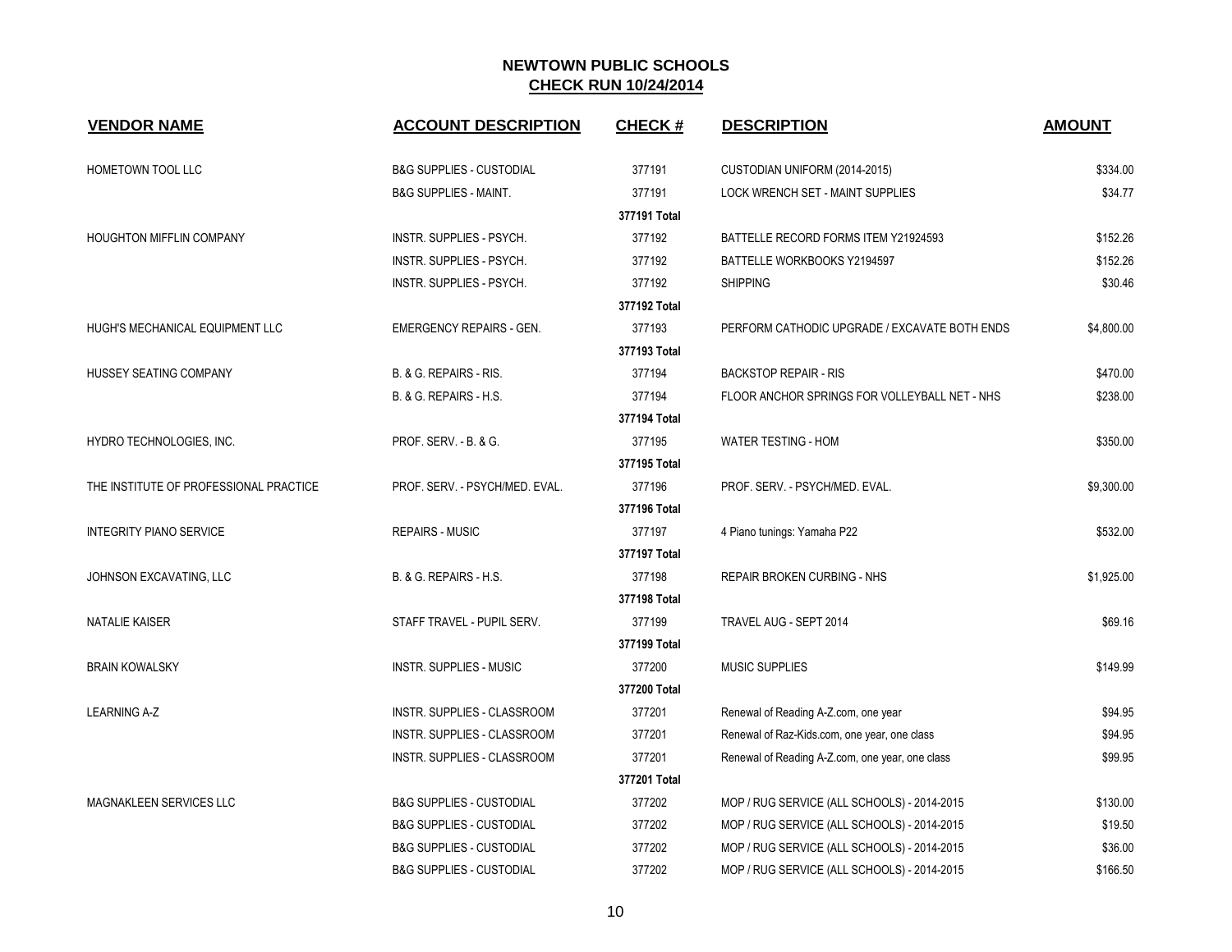| <b>VENDOR NAME</b>                     | <b>ACCOUNT DESCRIPTION</b>          | <b>CHECK#</b> | <b>DESCRIPTION</b>                              | <b>AMOUNT</b> |
|----------------------------------------|-------------------------------------|---------------|-------------------------------------------------|---------------|
| HOMETOWN TOOL LLC                      | <b>B&amp;G SUPPLIES - CUSTODIAL</b> | 377191        | CUSTODIAN UNIFORM (2014-2015)                   | \$334.00      |
|                                        | <b>B&amp;G SUPPLIES - MAINT.</b>    | 377191        | <b>LOCK WRENCH SET - MAINT SUPPLIES</b>         | \$34.77       |
|                                        |                                     | 377191 Total  |                                                 |               |
| <b>HOUGHTON MIFFLIN COMPANY</b>        | <b>INSTR. SUPPLIES - PSYCH.</b>     | 377192        | BATTELLE RECORD FORMS ITEM Y21924593            | \$152.26      |
|                                        | INSTR. SUPPLIES - PSYCH.            | 377192        | BATTELLE WORKBOOKS Y2194597                     | \$152.26      |
|                                        | INSTR. SUPPLIES - PSYCH.            | 377192        | <b>SHIPPING</b>                                 | \$30.46       |
|                                        |                                     | 377192 Total  |                                                 |               |
| HUGH'S MECHANICAL EQUIPMENT LLC        | <b>EMERGENCY REPAIRS - GEN.</b>     | 377193        | PERFORM CATHODIC UPGRADE / EXCAVATE BOTH ENDS   | \$4,800.00    |
|                                        |                                     | 377193 Total  |                                                 |               |
| HUSSEY SEATING COMPANY                 | B. & G. REPAIRS - RIS.              | 377194        | <b>BACKSTOP REPAIR - RIS</b>                    | \$470.00      |
|                                        | B. & G. REPAIRS - H.S.              | 377194        | FLOOR ANCHOR SPRINGS FOR VOLLEYBALL NET - NHS   | \$238.00      |
|                                        |                                     | 377194 Total  |                                                 |               |
| HYDRO TECHNOLOGIES, INC.               | PROF. SERV. - B. & G.               | 377195        | <b>WATER TESTING - HOM</b>                      | \$350.00      |
|                                        |                                     | 377195 Total  |                                                 |               |
| THE INSTITUTE OF PROFESSIONAL PRACTICE | PROF. SERV. - PSYCH/MED. EVAL.      | 377196        | PROF. SERV. - PSYCH/MED. EVAL.                  | \$9,300.00    |
|                                        |                                     | 377196 Total  |                                                 |               |
| <b>INTEGRITY PIANO SERVICE</b>         | <b>REPAIRS - MUSIC</b>              | 377197        | 4 Piano tunings: Yamaha P22                     | \$532.00      |
|                                        |                                     | 377197 Total  |                                                 |               |
| JOHNSON EXCAVATING, LLC                | B. & G. REPAIRS - H.S.              | 377198        | REPAIR BROKEN CURBING - NHS                     | \$1,925.00    |
|                                        |                                     | 377198 Total  |                                                 |               |
| <b>NATALIE KAISER</b>                  | STAFF TRAVEL - PUPIL SERV.          | 377199        | TRAVEL AUG - SEPT 2014                          | \$69.16       |
|                                        |                                     | 377199 Total  |                                                 |               |
| <b>BRAIN KOWALSKY</b>                  | <b>INSTR. SUPPLIES - MUSIC</b>      | 377200        | <b>MUSIC SUPPLIES</b>                           | \$149.99      |
|                                        |                                     | 377200 Total  |                                                 |               |
| <b>LEARNING A-Z</b>                    | <b>INSTR. SUPPLIES - CLASSROOM</b>  | 377201        | Renewal of Reading A-Z.com, one year            | \$94.95       |
|                                        | INSTR. SUPPLIES - CLASSROOM         | 377201        | Renewal of Raz-Kids.com, one year, one class    | \$94.95       |
|                                        | INSTR. SUPPLIES - CLASSROOM         | 377201        | Renewal of Reading A-Z.com, one year, one class | \$99.95       |
|                                        |                                     | 377201 Total  |                                                 |               |
| MAGNAKLEEN SERVICES LLC                | <b>B&amp;G SUPPLIES - CUSTODIAL</b> | 377202        | MOP / RUG SERVICE (ALL SCHOOLS) - 2014-2015     | \$130.00      |
|                                        | <b>B&amp;G SUPPLIES - CUSTODIAL</b> | 377202        | MOP / RUG SERVICE (ALL SCHOOLS) - 2014-2015     | \$19.50       |
|                                        | <b>B&amp;G SUPPLIES - CUSTODIAL</b> | 377202        | MOP / RUG SERVICE (ALL SCHOOLS) - 2014-2015     | \$36.00       |
|                                        | <b>B&amp;G SUPPLIES - CUSTODIAL</b> | 377202        | MOP / RUG SERVICE (ALL SCHOOLS) - 2014-2015     | \$166.50      |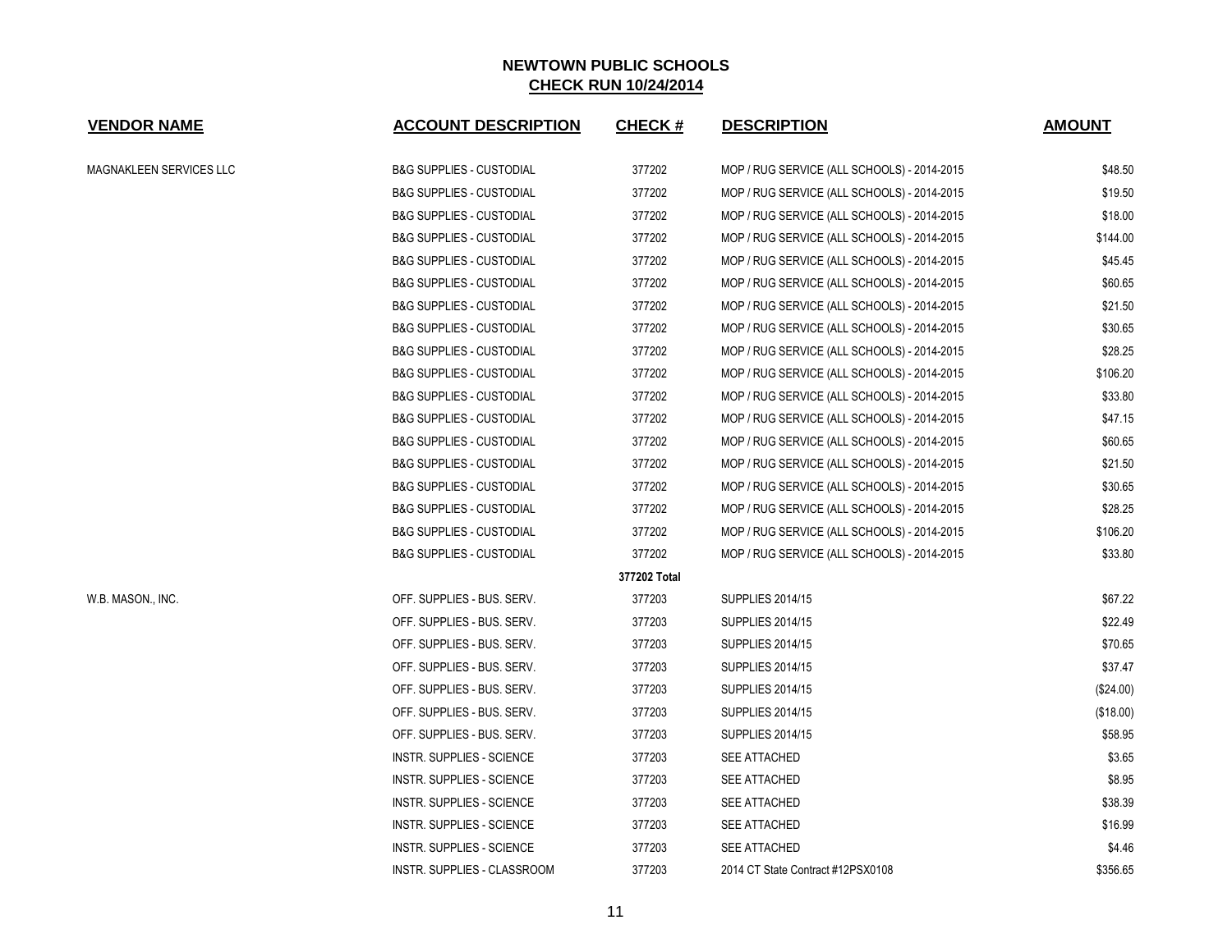| <b>VENDOR NAME</b>      | <b>ACCOUNT DESCRIPTION</b>          | <b>CHECK#</b> | <b>DESCRIPTION</b>                          | <b>AMOUNT</b> |
|-------------------------|-------------------------------------|---------------|---------------------------------------------|---------------|
| MAGNAKLEEN SERVICES LLC | <b>B&amp;G SUPPLIES - CUSTODIAL</b> | 377202        | MOP / RUG SERVICE (ALL SCHOOLS) - 2014-2015 | \$48.50       |
|                         | <b>B&amp;G SUPPLIES - CUSTODIAL</b> | 377202        | MOP / RUG SERVICE (ALL SCHOOLS) - 2014-2015 | \$19.50       |
|                         | <b>B&amp;G SUPPLIES - CUSTODIAL</b> | 377202        | MOP / RUG SERVICE (ALL SCHOOLS) - 2014-2015 | \$18.00       |
|                         | <b>B&amp;G SUPPLIES - CUSTODIAL</b> | 377202        | MOP / RUG SERVICE (ALL SCHOOLS) - 2014-2015 | \$144.00      |
|                         | <b>B&amp;G SUPPLIES - CUSTODIAL</b> | 377202        | MOP / RUG SERVICE (ALL SCHOOLS) - 2014-2015 | \$45.45       |
|                         | <b>B&amp;G SUPPLIES - CUSTODIAL</b> | 377202        | MOP / RUG SERVICE (ALL SCHOOLS) - 2014-2015 | \$60.65       |
|                         | <b>B&amp;G SUPPLIES - CUSTODIAL</b> | 377202        | MOP / RUG SERVICE (ALL SCHOOLS) - 2014-2015 | \$21.50       |
|                         | <b>B&amp;G SUPPLIES - CUSTODIAL</b> | 377202        | MOP / RUG SERVICE (ALL SCHOOLS) - 2014-2015 | \$30.65       |
|                         | <b>B&amp;G SUPPLIES - CUSTODIAL</b> | 377202        | MOP / RUG SERVICE (ALL SCHOOLS) - 2014-2015 | \$28.25       |
|                         | <b>B&amp;G SUPPLIES - CUSTODIAL</b> | 377202        | MOP / RUG SERVICE (ALL SCHOOLS) - 2014-2015 | \$106.20      |
|                         | <b>B&amp;G SUPPLIES - CUSTODIAL</b> | 377202        | MOP / RUG SERVICE (ALL SCHOOLS) - 2014-2015 | \$33.80       |
|                         | <b>B&amp;G SUPPLIES - CUSTODIAL</b> | 377202        | MOP / RUG SERVICE (ALL SCHOOLS) - 2014-2015 | \$47.15       |
|                         | <b>B&amp;G SUPPLIES - CUSTODIAL</b> | 377202        | MOP / RUG SERVICE (ALL SCHOOLS) - 2014-2015 | \$60.65       |
|                         | <b>B&amp;G SUPPLIES - CUSTODIAL</b> | 377202        | MOP / RUG SERVICE (ALL SCHOOLS) - 2014-2015 | \$21.50       |
|                         | <b>B&amp;G SUPPLIES - CUSTODIAL</b> | 377202        | MOP / RUG SERVICE (ALL SCHOOLS) - 2014-2015 | \$30.65       |
|                         | <b>B&amp;G SUPPLIES - CUSTODIAL</b> | 377202        | MOP / RUG SERVICE (ALL SCHOOLS) - 2014-2015 | \$28.25       |
|                         | <b>B&amp;G SUPPLIES - CUSTODIAL</b> | 377202        | MOP / RUG SERVICE (ALL SCHOOLS) - 2014-2015 | \$106.20      |
|                         | <b>B&amp;G SUPPLIES - CUSTODIAL</b> | 377202        | MOP / RUG SERVICE (ALL SCHOOLS) - 2014-2015 | \$33.80       |
|                         |                                     | 377202 Total  |                                             |               |
| W.B. MASON., INC.       | OFF. SUPPLIES - BUS. SERV.          | 377203        | <b>SUPPLIES 2014/15</b>                     | \$67.22       |
|                         | OFF. SUPPLIES - BUS. SERV.          | 377203        | SUPPLIES 2014/15                            | \$22.49       |
|                         | OFF. SUPPLIES - BUS. SERV.          | 377203        | <b>SUPPLIES 2014/15</b>                     | \$70.65       |
|                         | OFF. SUPPLIES - BUS. SERV.          | 377203        | <b>SUPPLIES 2014/15</b>                     | \$37.47       |
|                         | OFF. SUPPLIES - BUS. SERV.          | 377203        | <b>SUPPLIES 2014/15</b>                     | $(\$24.00)$   |
|                         | OFF. SUPPLIES - BUS. SERV.          | 377203        | <b>SUPPLIES 2014/15</b>                     | (\$18.00)     |
|                         | OFF. SUPPLIES - BUS. SERV.          | 377203        | SUPPLIES 2014/15                            | \$58.95       |
|                         | INSTR. SUPPLIES - SCIENCE           | 377203        | SEE ATTACHED                                | \$3.65        |
|                         | INSTR. SUPPLIES - SCIENCE           | 377203        | SEE ATTACHED                                | \$8.95        |
|                         | INSTR. SUPPLIES - SCIENCE           | 377203        | SEE ATTACHED                                | \$38.39       |
|                         | INSTR. SUPPLIES - SCIENCE           | 377203        | <b>SEE ATTACHED</b>                         | \$16.99       |
|                         | <b>INSTR. SUPPLIES - SCIENCE</b>    | 377203        | <b>SEE ATTACHED</b>                         | \$4.46        |
|                         | INSTR. SUPPLIES - CLASSROOM         | 377203        | 2014 CT State Contract #12PSX0108           | \$356.65      |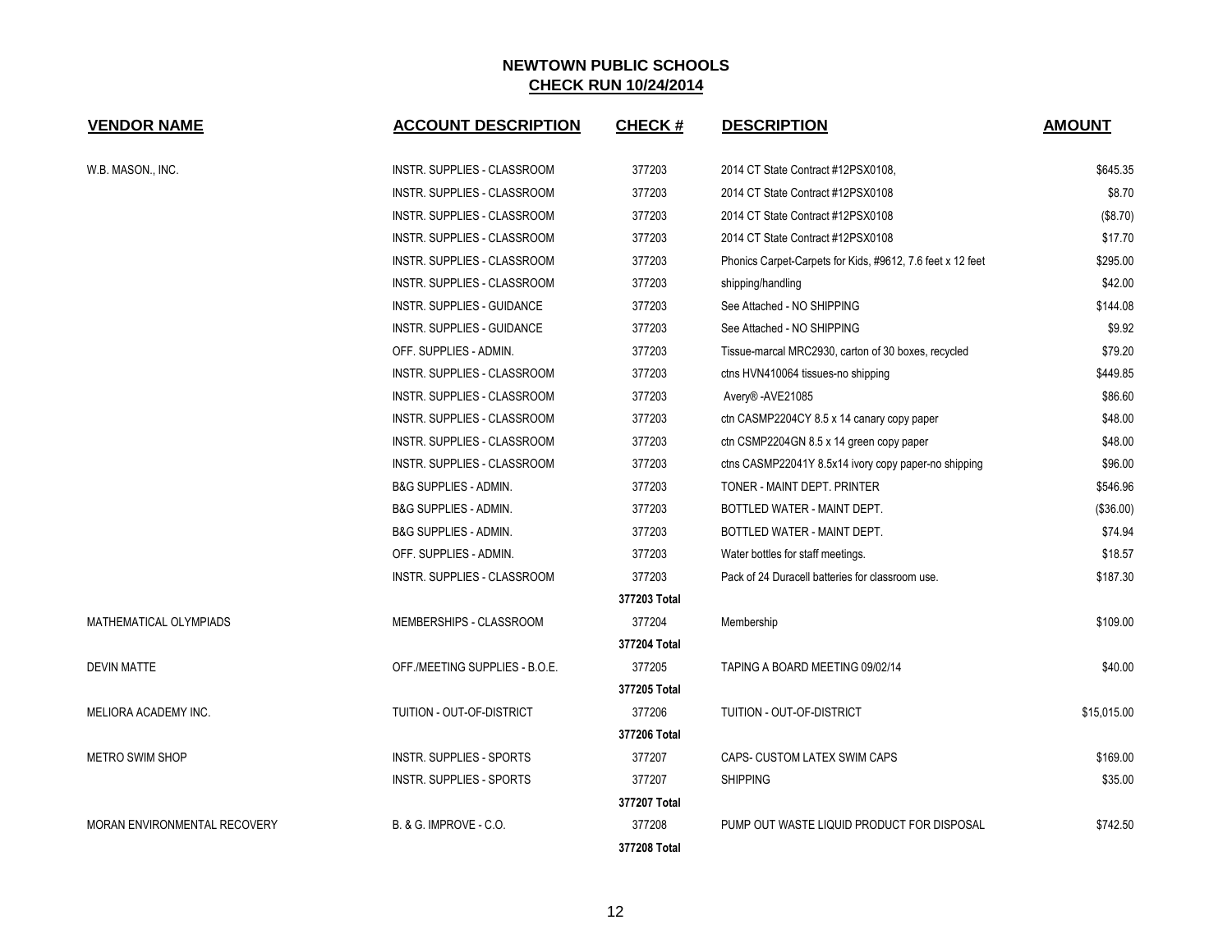| <b>VENDOR NAME</b>           | <b>ACCOUNT DESCRIPTION</b>         | <b>CHECK#</b> | <b>DESCRIPTION</b>                                         | <b>AMOUNT</b> |
|------------------------------|------------------------------------|---------------|------------------------------------------------------------|---------------|
| W.B. MASON., INC.            | INSTR. SUPPLIES - CLASSROOM        | 377203        | 2014 CT State Contract #12PSX0108,                         | \$645.35      |
|                              | INSTR. SUPPLIES - CLASSROOM        | 377203        | 2014 CT State Contract #12PSX0108                          | \$8.70        |
|                              | <b>INSTR. SUPPLIES - CLASSROOM</b> | 377203        | 2014 CT State Contract #12PSX0108                          | (\$8.70)      |
|                              | INSTR. SUPPLIES - CLASSROOM        | 377203        | 2014 CT State Contract #12PSX0108                          | \$17.70       |
|                              | INSTR. SUPPLIES - CLASSROOM        | 377203        | Phonics Carpet-Carpets for Kids, #9612, 7.6 feet x 12 feet | \$295.00      |
|                              | INSTR. SUPPLIES - CLASSROOM        | 377203        | shipping/handling                                          | \$42.00       |
|                              | <b>INSTR. SUPPLIES - GUIDANCE</b>  | 377203        | See Attached - NO SHIPPING                                 | \$144.08      |
|                              | INSTR. SUPPLIES - GUIDANCE         | 377203        | See Attached - NO SHIPPING                                 | \$9.92        |
|                              | OFF. SUPPLIES - ADMIN.             | 377203        | Tissue-marcal MRC2930, carton of 30 boxes, recycled        | \$79.20       |
|                              | <b>INSTR. SUPPLIES - CLASSROOM</b> | 377203        | ctns HVN410064 tissues-no shipping                         | \$449.85      |
|                              | INSTR. SUPPLIES - CLASSROOM        | 377203        | Avery®-AVE21085                                            | \$86.60       |
|                              | INSTR. SUPPLIES - CLASSROOM        | 377203        | ctn CASMP2204CY 8.5 x 14 canary copy paper                 | \$48.00       |
|                              | INSTR. SUPPLIES - CLASSROOM        | 377203        | ctn CSMP2204GN 8.5 x 14 green copy paper                   | \$48.00       |
|                              | INSTR. SUPPLIES - CLASSROOM        | 377203        | ctns CASMP22041Y 8.5x14 ivory copy paper-no shipping       | \$96.00       |
|                              | <b>B&amp;G SUPPLIES - ADMIN.</b>   | 377203        | TONER - MAINT DEPT, PRINTER                                | \$546.96      |
|                              | <b>B&amp;G SUPPLIES - ADMIN.</b>   | 377203        | BOTTLED WATER - MAINT DEPT.                                | (\$36.00)     |
|                              | <b>B&amp;G SUPPLIES - ADMIN.</b>   | 377203        | BOTTLED WATER - MAINT DEPT.                                | \$74.94       |
|                              | OFF. SUPPLIES - ADMIN.             | 377203        | Water bottles for staff meetings.                          | \$18.57       |
|                              | <b>INSTR. SUPPLIES - CLASSROOM</b> | 377203        | Pack of 24 Duracell batteries for classroom use.           | \$187.30      |
|                              |                                    | 377203 Total  |                                                            |               |
| MATHEMATICAL OLYMPIADS       | MEMBERSHIPS - CLASSROOM            | 377204        | Membership                                                 | \$109.00      |
|                              |                                    | 377204 Total  |                                                            |               |
| <b>DEVIN MATTE</b>           | OFF./MEETING SUPPLIES - B.O.E.     | 377205        | TAPING A BOARD MEETING 09/02/14                            | \$40.00       |
|                              |                                    | 377205 Total  |                                                            |               |
| MELIORA ACADEMY INC.         | TUITION - OUT-OF-DISTRICT          | 377206        | TUITION - OUT-OF-DISTRICT                                  | \$15,015.00   |
|                              |                                    | 377206 Total  |                                                            |               |
| <b>METRO SWIM SHOP</b>       | <b>INSTR. SUPPLIES - SPORTS</b>    | 377207        | CAPS- CUSTOM LATEX SWIM CAPS                               | \$169.00      |
|                              | INSTR. SUPPLIES - SPORTS           | 377207        | <b>SHIPPING</b>                                            | \$35.00       |
|                              |                                    | 377207 Total  |                                                            |               |
| MORAN ENVIRONMENTAL RECOVERY | B. & G. IMPROVE - C.O.             | 377208        | PUMP OUT WASTE LIQUID PRODUCT FOR DISPOSAL                 | \$742.50      |
|                              |                                    | 377208 Total  |                                                            |               |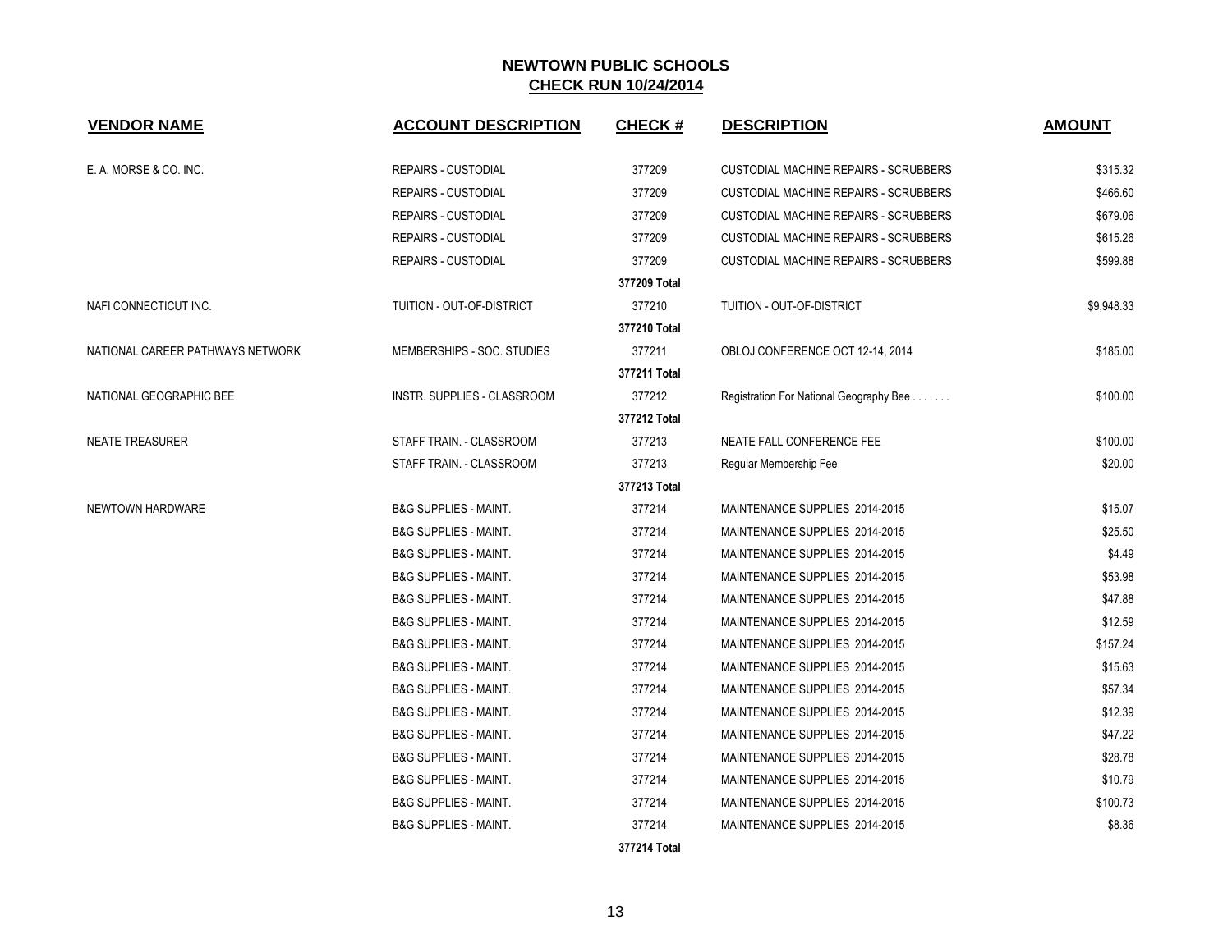| <b>VENDOR NAME</b>               | <b>ACCOUNT DESCRIPTION</b>       | <b>CHECK#</b> | <b>DESCRIPTION</b>                           | <b>AMOUNT</b> |
|----------------------------------|----------------------------------|---------------|----------------------------------------------|---------------|
| E. A. MORSE & CO. INC.           | <b>REPAIRS - CUSTODIAL</b>       | 377209        | <b>CUSTODIAL MACHINE REPAIRS - SCRUBBERS</b> | \$315.32      |
|                                  | <b>REPAIRS - CUSTODIAL</b>       | 377209        | <b>CUSTODIAL MACHINE REPAIRS - SCRUBBERS</b> | \$466.60      |
|                                  | <b>REPAIRS - CUSTODIAL</b>       | 377209        | <b>CUSTODIAL MACHINE REPAIRS - SCRUBBERS</b> | \$679.06      |
|                                  | <b>REPAIRS - CUSTODIAL</b>       | 377209        | <b>CUSTODIAL MACHINE REPAIRS - SCRUBBERS</b> | \$615.26      |
|                                  | <b>REPAIRS - CUSTODIAL</b>       | 377209        | <b>CUSTODIAL MACHINE REPAIRS - SCRUBBERS</b> | \$599.88      |
|                                  |                                  | 377209 Total  |                                              |               |
| NAFI CONNECTICUT INC.            | TUITION - OUT-OF-DISTRICT        | 377210        | TUITION - OUT-OF-DISTRICT                    | \$9,948.33    |
|                                  |                                  | 377210 Total  |                                              |               |
| NATIONAL CAREER PATHWAYS NETWORK | MEMBERSHIPS - SOC. STUDIES       | 377211        | OBLOJ CONFERENCE OCT 12-14, 2014             | \$185.00      |
|                                  |                                  | 377211 Total  |                                              |               |
| NATIONAL GEOGRAPHIC BEE          | INSTR. SUPPLIES - CLASSROOM      | 377212        | Registration For National Geography Bee      | \$100.00      |
|                                  |                                  | 377212 Total  |                                              |               |
| <b>NEATE TREASURER</b>           | STAFF TRAIN. - CLASSROOM         | 377213        | NEATE FALL CONFERENCE FEE                    | \$100.00      |
|                                  | STAFF TRAIN. - CLASSROOM         | 377213        | Regular Membership Fee                       | \$20.00       |
|                                  |                                  | 377213 Total  |                                              |               |
| NEWTOWN HARDWARE                 | <b>B&amp;G SUPPLIES - MAINT.</b> | 377214        | MAINTENANCE SUPPLIES 2014-2015               | \$15.07       |
|                                  | <b>B&amp;G SUPPLIES - MAINT.</b> | 377214        | MAINTENANCE SUPPLIES 2014-2015               | \$25.50       |
|                                  | <b>B&amp;G SUPPLIES - MAINT.</b> | 377214        | MAINTENANCE SUPPLIES 2014-2015               | \$4.49        |
|                                  | <b>B&amp;G SUPPLIES - MAINT.</b> | 377214        | MAINTENANCE SUPPLIES 2014-2015               | \$53.98       |
|                                  | <b>B&amp;G SUPPLIES - MAINT.</b> | 377214        | MAINTENANCE SUPPLIES 2014-2015               | \$47.88       |
|                                  | <b>B&amp;G SUPPLIES - MAINT.</b> | 377214        | MAINTENANCE SUPPLIES 2014-2015               | \$12.59       |
|                                  | <b>B&amp;G SUPPLIES - MAINT.</b> | 377214        | MAINTENANCE SUPPLIES 2014-2015               | \$157.24      |
|                                  | <b>B&amp;G SUPPLIES - MAINT.</b> | 377214        | MAINTENANCE SUPPLIES 2014-2015               | \$15.63       |
|                                  | <b>B&amp;G SUPPLIES - MAINT.</b> | 377214        | MAINTENANCE SUPPLIES 2014-2015               | \$57.34       |
|                                  | <b>B&amp;G SUPPLIES - MAINT.</b> | 377214        | MAINTENANCE SUPPLIES 2014-2015               | \$12.39       |
|                                  | <b>B&amp;G SUPPLIES - MAINT.</b> | 377214        | MAINTENANCE SUPPLIES 2014-2015               | \$47.22       |
|                                  | <b>B&amp;G SUPPLIES - MAINT.</b> | 377214        | MAINTENANCE SUPPLIES 2014-2015               | \$28.78       |
|                                  | <b>B&amp;G SUPPLIES - MAINT.</b> | 377214        | MAINTENANCE SUPPLIES 2014-2015               | \$10.79       |
|                                  | <b>B&amp;G SUPPLIES - MAINT.</b> | 377214        | MAINTENANCE SUPPLIES 2014-2015               | \$100.73      |
|                                  | <b>B&amp;G SUPPLIES - MAINT.</b> | 377214        | MAINTENANCE SUPPLIES 2014-2015               | \$8.36        |
|                                  |                                  | 377214 Total  |                                              |               |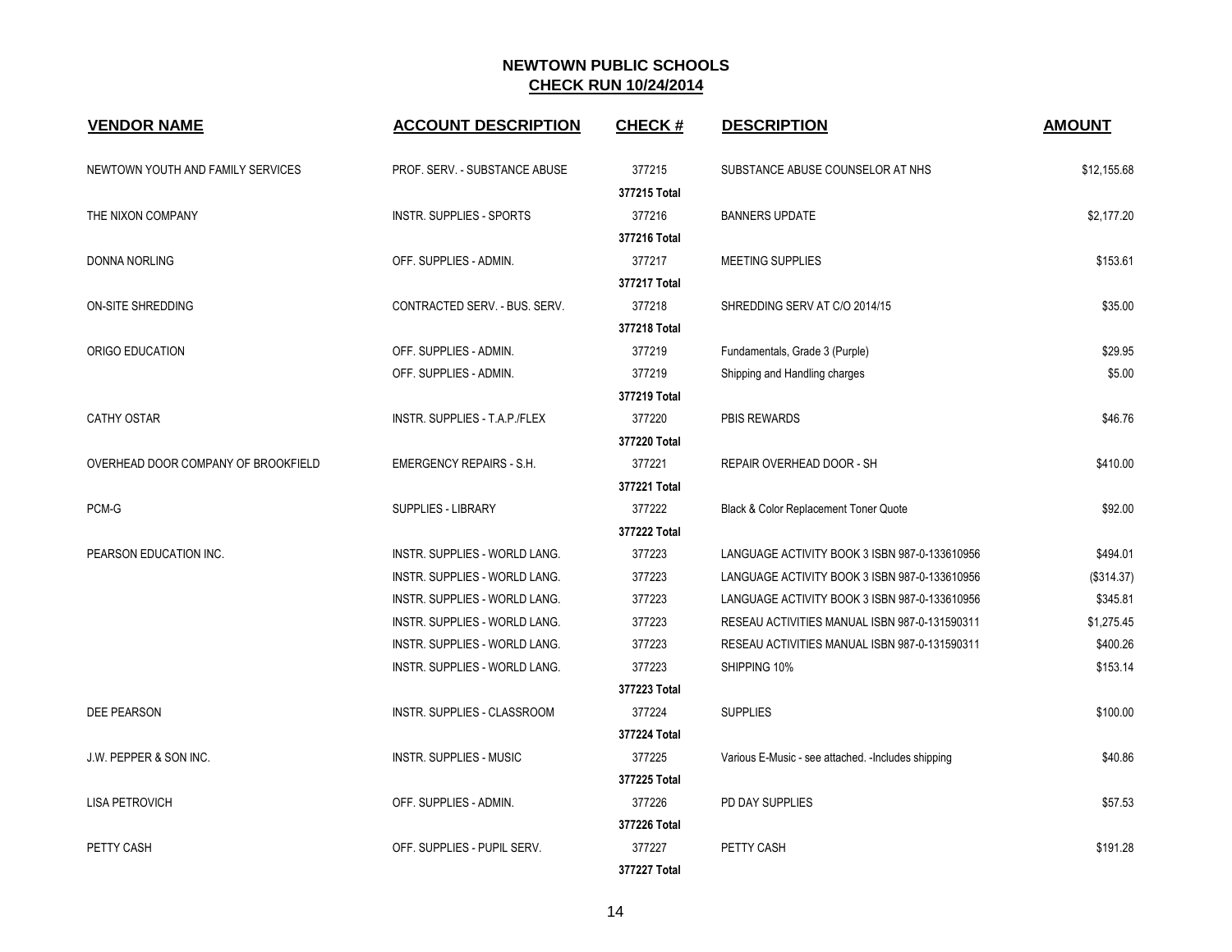| <b>VENDOR NAME</b>                  | <b>ACCOUNT DESCRIPTION</b>           | <b>CHECK#</b> | <b>DESCRIPTION</b>                                  | <b>AMOUNT</b> |
|-------------------------------------|--------------------------------------|---------------|-----------------------------------------------------|---------------|
| NEWTOWN YOUTH AND FAMILY SERVICES   | PROF. SERV. - SUBSTANCE ABUSE        | 377215        | SUBSTANCE ABUSE COUNSELOR AT NHS                    | \$12,155.68   |
|                                     |                                      | 377215 Total  |                                                     |               |
| THE NIXON COMPANY                   | <b>INSTR. SUPPLIES - SPORTS</b>      | 377216        | <b>BANNERS UPDATE</b>                               | \$2,177.20    |
|                                     |                                      | 377216 Total  |                                                     |               |
| <b>DONNA NORLING</b>                | OFF. SUPPLIES - ADMIN.               | 377217        | <b>MEETING SUPPLIES</b>                             | \$153.61      |
|                                     |                                      | 377217 Total  |                                                     |               |
| ON-SITE SHREDDING                   | CONTRACTED SERV. - BUS. SERV.        | 377218        | SHREDDING SERV AT C/O 2014/15                       | \$35.00       |
|                                     |                                      | 377218 Total  |                                                     |               |
| ORIGO EDUCATION                     | OFF. SUPPLIES - ADMIN.               | 377219        | Fundamentals, Grade 3 (Purple)                      | \$29.95       |
|                                     | OFF. SUPPLIES - ADMIN.               | 377219        | Shipping and Handling charges                       | \$5.00        |
|                                     |                                      | 377219 Total  |                                                     |               |
| <b>CATHY OSTAR</b>                  | INSTR. SUPPLIES - T.A.P./FLEX        | 377220        | <b>PBIS REWARDS</b>                                 | \$46.76       |
|                                     |                                      | 377220 Total  |                                                     |               |
| OVERHEAD DOOR COMPANY OF BROOKFIELD | <b>EMERGENCY REPAIRS - S.H.</b>      | 377221        | REPAIR OVERHEAD DOOR - SH                           | \$410.00      |
|                                     |                                      | 377221 Total  |                                                     |               |
| $PCM-G$                             | SUPPLIES - LIBRARY                   | 377222        | Black & Color Replacement Toner Quote               | \$92.00       |
|                                     |                                      | 377222 Total  |                                                     |               |
| PEARSON EDUCATION INC.              | <b>INSTR. SUPPLIES - WORLD LANG.</b> | 377223        | LANGUAGE ACTIVITY BOOK 3 ISBN 987-0-133610956       | \$494.01      |
|                                     | INSTR. SUPPLIES - WORLD LANG.        | 377223        | LANGUAGE ACTIVITY BOOK 3 ISBN 987-0-133610956       | (\$314.37)    |
|                                     | INSTR. SUPPLIES - WORLD LANG.        | 377223        | LANGUAGE ACTIVITY BOOK 3 ISBN 987-0-133610956       | \$345.81      |
|                                     | INSTR. SUPPLIES - WORLD LANG.        | 377223        | RESEAU ACTIVITIES MANUAL ISBN 987-0-131590311       | \$1,275.45    |
|                                     | INSTR. SUPPLIES - WORLD LANG.        | 377223        | RESEAU ACTIVITIES MANUAL ISBN 987-0-131590311       | \$400.26      |
|                                     | INSTR. SUPPLIES - WORLD LANG.        | 377223        | SHIPPING 10%                                        | \$153.14      |
|                                     |                                      | 377223 Total  |                                                     |               |
| DEE PEARSON                         | INSTR. SUPPLIES - CLASSROOM          | 377224        | <b>SUPPLIES</b>                                     | \$100.00      |
|                                     |                                      | 377224 Total  |                                                     |               |
| J.W. PEPPER & SON INC.              | <b>INSTR. SUPPLIES - MUSIC</b>       | 377225        | Various E-Music - see attached. - Includes shipping | \$40.86       |
|                                     |                                      | 377225 Total  |                                                     |               |
| <b>LISA PETROVICH</b>               | OFF. SUPPLIES - ADMIN.               | 377226        | PD DAY SUPPLIES                                     | \$57.53       |
|                                     |                                      | 377226 Total  |                                                     |               |
| PETTY CASH                          | OFF. SUPPLIES - PUPIL SERV.          | 377227        | PETTY CASH                                          | \$191.28      |
|                                     |                                      | 377227 Total  |                                                     |               |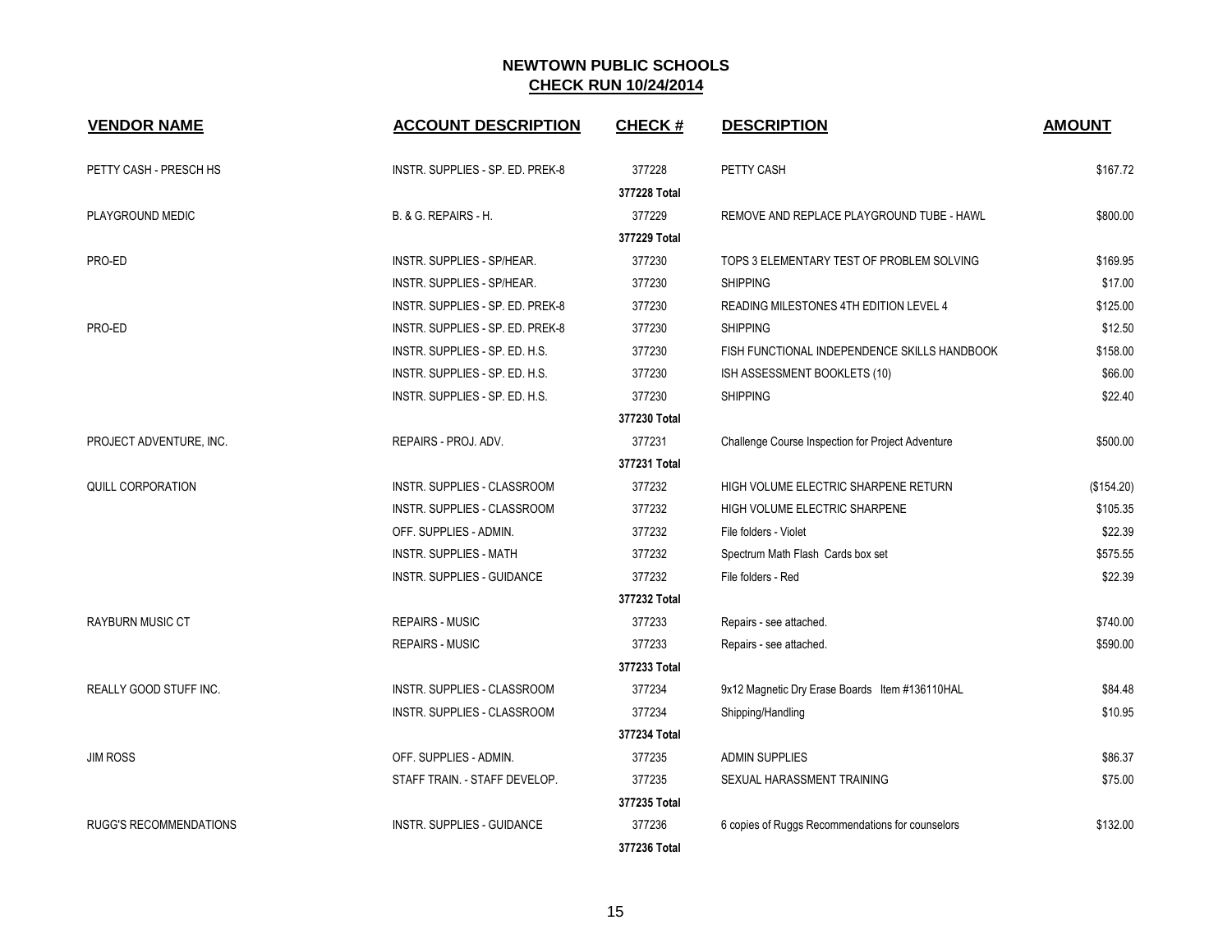| <b>VENDOR NAME</b>            | <b>ACCOUNT DESCRIPTION</b>       | <b>CHECK#</b> | <b>DESCRIPTION</b>                                | <b>AMOUNT</b> |
|-------------------------------|----------------------------------|---------------|---------------------------------------------------|---------------|
| PETTY CASH - PRESCH HS        | INSTR. SUPPLIES - SP. ED. PREK-8 | 377228        | PETTY CASH                                        | \$167.72      |
|                               |                                  | 377228 Total  |                                                   |               |
| PLAYGROUND MEDIC              | B. & G. REPAIRS - H.             | 377229        | REMOVE AND REPLACE PLAYGROUND TUBE - HAWL         | \$800.00      |
|                               |                                  | 377229 Total  |                                                   |               |
| PRO-ED                        | INSTR. SUPPLIES - SP/HEAR.       | 377230        | TOPS 3 ELEMENTARY TEST OF PROBLEM SOLVING         | \$169.95      |
|                               | INSTR. SUPPLIES - SP/HEAR.       | 377230        | <b>SHIPPING</b>                                   | \$17.00       |
|                               | INSTR. SUPPLIES - SP. ED. PREK-8 | 377230        | READING MILESTONES 4TH EDITION LEVEL 4            | \$125.00      |
| PRO-ED                        | INSTR. SUPPLIES - SP. ED. PREK-8 | 377230        | <b>SHIPPING</b>                                   | \$12.50       |
|                               | INSTR. SUPPLIES - SP. ED. H.S.   | 377230        | FISH FUNCTIONAL INDEPENDENCE SKILLS HANDBOOK      | \$158.00      |
|                               | INSTR. SUPPLIES - SP. ED. H.S.   | 377230        | ISH ASSESSMENT BOOKLETS (10)                      | \$66.00       |
|                               | INSTR. SUPPLIES - SP. ED. H.S.   | 377230        | <b>SHIPPING</b>                                   | \$22.40       |
|                               |                                  | 377230 Total  |                                                   |               |
| PROJECT ADVENTURE, INC.       | REPAIRS - PROJ. ADV.             | 377231        | Challenge Course Inspection for Project Adventure | \$500.00      |
|                               |                                  | 377231 Total  |                                                   |               |
| <b>QUILL CORPORATION</b>      | INSTR. SUPPLIES - CLASSROOM      | 377232        | HIGH VOLUME ELECTRIC SHARPENE RETURN              | (\$154.20)    |
|                               | INSTR. SUPPLIES - CLASSROOM      | 377232        | HIGH VOLUME ELECTRIC SHARPENE                     | \$105.35      |
|                               | OFF. SUPPLIES - ADMIN.           | 377232        | File folders - Violet                             | \$22.39       |
|                               | <b>INSTR. SUPPLIES - MATH</b>    | 377232        | Spectrum Math Flash Cards box set                 | \$575.55      |
|                               | INSTR. SUPPLIES - GUIDANCE       | 377232        | File folders - Red                                | \$22.39       |
|                               |                                  | 377232 Total  |                                                   |               |
| <b>RAYBURN MUSIC CT</b>       | <b>REPAIRS - MUSIC</b>           | 377233        | Repairs - see attached.                           | \$740.00      |
|                               | <b>REPAIRS - MUSIC</b>           | 377233        | Repairs - see attached.                           | \$590.00      |
|                               |                                  | 377233 Total  |                                                   |               |
| REALLY GOOD STUFF INC.        | INSTR. SUPPLIES - CLASSROOM      | 377234        | 9x12 Magnetic Dry Erase Boards Item #136110HAL    | \$84.48       |
|                               | INSTR. SUPPLIES - CLASSROOM      | 377234        | Shipping/Handling                                 | \$10.95       |
|                               |                                  | 377234 Total  |                                                   |               |
| <b>JIM ROSS</b>               | OFF. SUPPLIES - ADMIN.           | 377235        | <b>ADMIN SUPPLIES</b>                             | \$86.37       |
|                               | STAFF TRAIN. - STAFF DEVELOP.    | 377235        | SEXUAL HARASSMENT TRAINING                        | \$75.00       |
|                               |                                  | 377235 Total  |                                                   |               |
| <b>RUGG'S RECOMMENDATIONS</b> | INSTR. SUPPLIES - GUIDANCE       | 377236        | 6 copies of Ruggs Recommendations for counselors  | \$132.00      |
|                               |                                  | 377236 Total  |                                                   |               |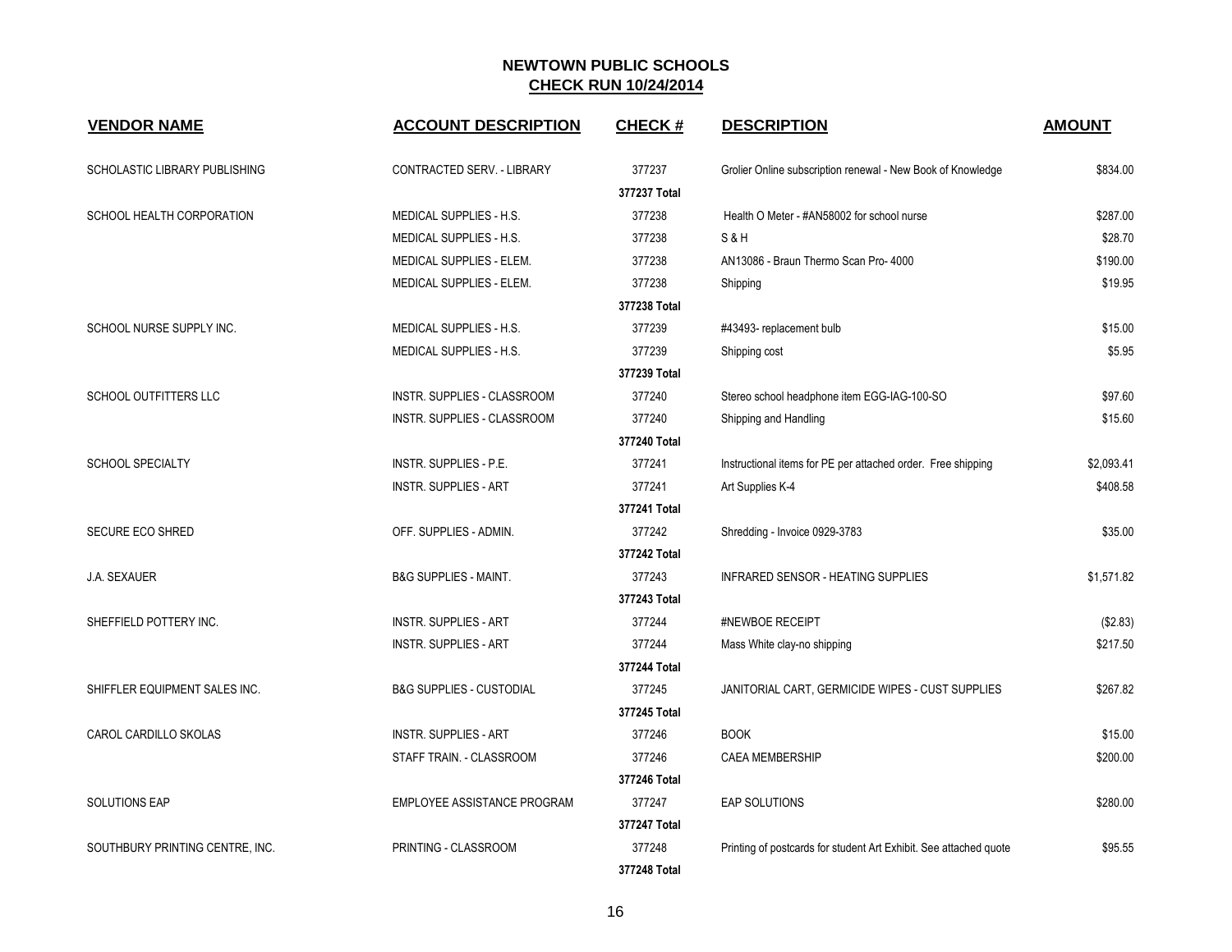| <b>VENDOR NAME</b>              | <b>ACCOUNT DESCRIPTION</b>          | <b>CHECK#</b> | <b>DESCRIPTION</b>                                                | <b>AMOUNT</b> |
|---------------------------------|-------------------------------------|---------------|-------------------------------------------------------------------|---------------|
| SCHOLASTIC LIBRARY PUBLISHING   | CONTRACTED SERV. - LIBRARY          | 377237        | Grolier Online subscription renewal - New Book of Knowledge       | \$834.00      |
|                                 |                                     | 377237 Total  |                                                                   |               |
| SCHOOL HEALTH CORPORATION       | MEDICAL SUPPLIES - H.S.             | 377238        | Health O Meter - #AN58002 for school nurse                        | \$287.00      |
|                                 | MEDICAL SUPPLIES - H.S.             | 377238        | S&H                                                               | \$28.70       |
|                                 | MEDICAL SUPPLIES - ELEM.            | 377238        | AN13086 - Braun Thermo Scan Pro- 4000                             | \$190.00      |
|                                 | MEDICAL SUPPLIES - ELEM.            | 377238        | Shipping                                                          | \$19.95       |
|                                 |                                     | 377238 Total  |                                                                   |               |
| SCHOOL NURSE SUPPLY INC.        | MEDICAL SUPPLIES - H.S.             | 377239        | #43493- replacement bulb                                          | \$15.00       |
|                                 | MEDICAL SUPPLIES - H.S.             | 377239        | Shipping cost                                                     | \$5.95        |
|                                 |                                     | 377239 Total  |                                                                   |               |
| <b>SCHOOL OUTFITTERS LLC</b>    | INSTR. SUPPLIES - CLASSROOM         | 377240        | Stereo school headphone item EGG-IAG-100-SO                       | \$97.60       |
|                                 | INSTR. SUPPLIES - CLASSROOM         | 377240        | Shipping and Handling                                             | \$15.60       |
|                                 |                                     | 377240 Total  |                                                                   |               |
| <b>SCHOOL SPECIALTY</b>         | INSTR. SUPPLIES - P.E.              | 377241        | Instructional items for PE per attached order. Free shipping      | \$2,093.41    |
|                                 | <b>INSTR. SUPPLIES - ART</b>        | 377241        | Art Supplies K-4                                                  | \$408.58      |
|                                 |                                     | 377241 Total  |                                                                   |               |
| <b>SECURE ECO SHRED</b>         | OFF. SUPPLIES - ADMIN.              | 377242        | Shredding - Invoice 0929-3783                                     | \$35.00       |
|                                 |                                     | 377242 Total  |                                                                   |               |
| J.A. SEXAUER                    | <b>B&amp;G SUPPLIES - MAINT.</b>    | 377243        | INFRARED SENSOR - HEATING SUPPLIES                                | \$1,571.82    |
|                                 |                                     | 377243 Total  |                                                                   |               |
| SHEFFIELD POTTERY INC.          | <b>INSTR. SUPPLIES - ART</b>        | 377244        | #NEWBOE RECEIPT                                                   | (\$2.83)      |
|                                 | <b>INSTR. SUPPLIES - ART</b>        | 377244        | Mass White clay-no shipping                                       | \$217.50      |
|                                 |                                     | 377244 Total  |                                                                   |               |
| SHIFFLER EQUIPMENT SALES INC.   | <b>B&amp;G SUPPLIES - CUSTODIAL</b> | 377245        | JANITORIAL CART, GERMICIDE WIPES - CUST SUPPLIES                  | \$267.82      |
|                                 |                                     | 377245 Total  |                                                                   |               |
| CAROL CARDILLO SKOLAS           | <b>INSTR. SUPPLIES - ART</b>        | 377246        | <b>BOOK</b>                                                       | \$15.00       |
|                                 | STAFF TRAIN. - CLASSROOM            | 377246        | <b>CAEA MEMBERSHIP</b>                                            | \$200.00      |
|                                 |                                     | 377246 Total  |                                                                   |               |
| SOLUTIONS EAP                   | EMPLOYEE ASSISTANCE PROGRAM         | 377247        | <b>EAP SOLUTIONS</b>                                              | \$280.00      |
|                                 |                                     | 377247 Total  |                                                                   |               |
| SOUTHBURY PRINTING CENTRE, INC. | PRINTING - CLASSROOM                | 377248        | Printing of postcards for student Art Exhibit. See attached quote | \$95.55       |
|                                 |                                     | 377248 Total  |                                                                   |               |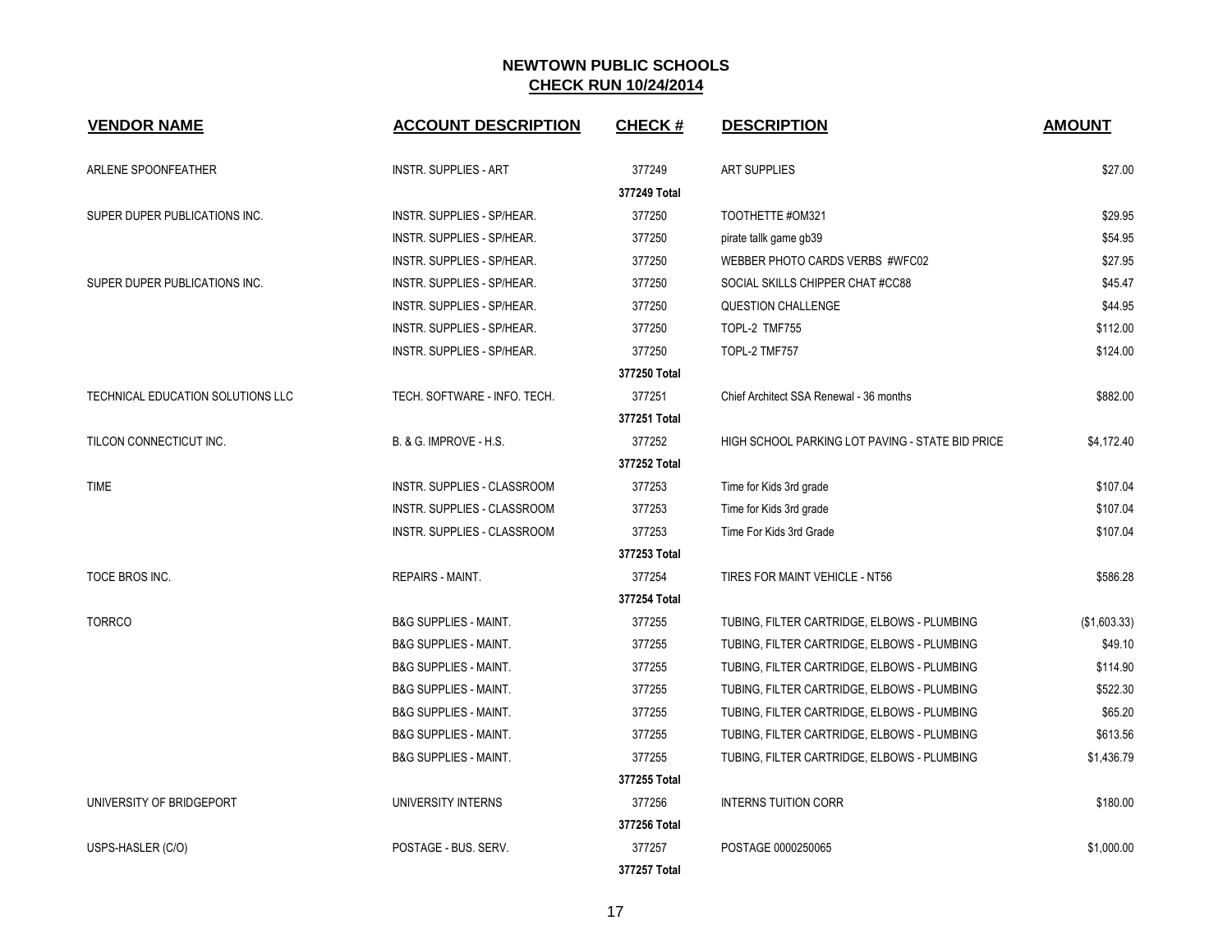| <b>VENDOR NAME</b>                | <b>ACCOUNT DESCRIPTION</b>         | <b>CHECK#</b> | <b>DESCRIPTION</b>                               | <b>AMOUNT</b> |
|-----------------------------------|------------------------------------|---------------|--------------------------------------------------|---------------|
| ARLENE SPOONFEATHER               | <b>INSTR. SUPPLIES - ART</b>       | 377249        | <b>ART SUPPLIES</b>                              | \$27.00       |
|                                   |                                    | 377249 Total  |                                                  |               |
| SUPER DUPER PUBLICATIONS INC.     | INSTR. SUPPLIES - SP/HEAR.         | 377250        | TOOTHETTE #OM321                                 | \$29.95       |
|                                   | INSTR. SUPPLIES - SP/HEAR.         | 377250        | pirate tallk game gb39                           | \$54.95       |
|                                   | INSTR. SUPPLIES - SP/HEAR.         | 377250        | WEBBER PHOTO CARDS VERBS #WFC02                  | \$27.95       |
| SUPER DUPER PUBLICATIONS INC.     | INSTR. SUPPLIES - SP/HEAR.         | 377250        | SOCIAL SKILLS CHIPPER CHAT #CC88                 | \$45.47       |
|                                   | INSTR. SUPPLIES - SP/HEAR.         | 377250        | <b>QUESTION CHALLENGE</b>                        | \$44.95       |
|                                   | INSTR. SUPPLIES - SP/HEAR.         | 377250        | TOPL-2 TMF755                                    | \$112.00      |
|                                   | INSTR. SUPPLIES - SP/HEAR.         | 377250        | TOPL-2 TMF757                                    | \$124.00      |
|                                   |                                    | 377250 Total  |                                                  |               |
| TECHNICAL EDUCATION SOLUTIONS LLC | TECH. SOFTWARE - INFO. TECH.       | 377251        | Chief Architect SSA Renewal - 36 months          | \$882.00      |
|                                   |                                    | 377251 Total  |                                                  |               |
| TILCON CONNECTICUT INC.           | B. & G. IMPROVE - H.S.             | 377252        | HIGH SCHOOL PARKING LOT PAVING - STATE BID PRICE | \$4,172.40    |
|                                   |                                    | 377252 Total  |                                                  |               |
| <b>TIME</b>                       | <b>INSTR. SUPPLIES - CLASSROOM</b> | 377253        | Time for Kids 3rd grade                          | \$107.04      |
|                                   | <b>INSTR. SUPPLIES - CLASSROOM</b> | 377253        | Time for Kids 3rd grade                          | \$107.04      |
|                                   | INSTR. SUPPLIES - CLASSROOM        | 377253        | Time For Kids 3rd Grade                          | \$107.04      |
|                                   |                                    | 377253 Total  |                                                  |               |
| TOCE BROS INC.                    | REPAIRS - MAINT.                   | 377254        | TIRES FOR MAINT VEHICLE - NT56                   | \$586.28      |
|                                   |                                    | 377254 Total  |                                                  |               |
| <b>TORRCO</b>                     | <b>B&amp;G SUPPLIES - MAINT.</b>   | 377255        | TUBING, FILTER CARTRIDGE, ELBOWS - PLUMBING      | (\$1,603.33)  |
|                                   | <b>B&amp;G SUPPLIES - MAINT.</b>   | 377255        | TUBING, FILTER CARTRIDGE, ELBOWS - PLUMBING      | \$49.10       |
|                                   | <b>B&amp;G SUPPLIES - MAINT.</b>   | 377255        | TUBING, FILTER CARTRIDGE, ELBOWS - PLUMBING      | \$114.90      |
|                                   | <b>B&amp;G SUPPLIES - MAINT.</b>   | 377255        | TUBING, FILTER CARTRIDGE, ELBOWS - PLUMBING      | \$522.30      |
|                                   | <b>B&amp;G SUPPLIES - MAINT.</b>   | 377255        | TUBING, FILTER CARTRIDGE, ELBOWS - PLUMBING      | \$65.20       |
|                                   | <b>B&amp;G SUPPLIES - MAINT.</b>   | 377255        | TUBING, FILTER CARTRIDGE, ELBOWS - PLUMBING      | \$613.56      |
|                                   | <b>B&amp;G SUPPLIES - MAINT.</b>   | 377255        | TUBING, FILTER CARTRIDGE, ELBOWS - PLUMBING      | \$1,436.79    |
|                                   |                                    | 377255 Total  |                                                  |               |
| UNIVERSITY OF BRIDGEPORT          | UNIVERSITY INTERNS                 | 377256        | <b>INTERNS TUITION CORR</b>                      | \$180.00      |
|                                   |                                    | 377256 Total  |                                                  |               |
| USPS-HASLER (C/O)                 | POSTAGE - BUS, SERV.               | 377257        | POSTAGE 0000250065                               | \$1,000.00    |
|                                   |                                    | 377257 Total  |                                                  |               |